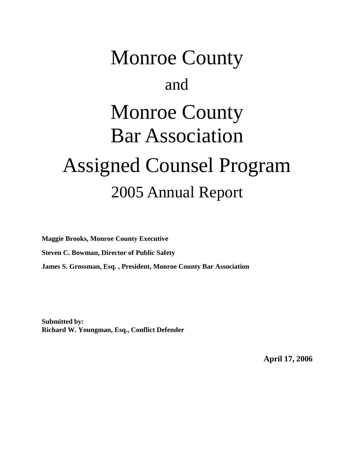# Monroe County and Monroe County Bar Association Assigned Counsel Program 2005 Annual Report

**Maggie Brooks, Monroe County Executive Steven C. Bowman, Director of Public Safety James S. Grossman, Esq. , President, Monroe County Bar Association**

**Submitted by: Richard W. Youngman, Esq., Conflict Defender**

**April 17, 2006**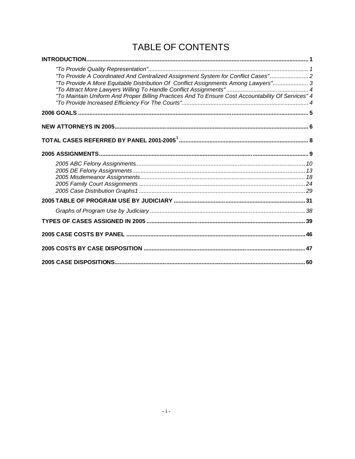# TABLE OF CONTENTS

| "To Provide A Coordinated And Centralized Assignment System for Conflict Cases" 2<br>"To Provide A More Equitable Distribution Of Conflict Assignments Among Lawyers" 3<br>"To Maintain Uniform And Proper Billing Practices And To Ensure Cost Accountability Of Services" 4 |  |
|-------------------------------------------------------------------------------------------------------------------------------------------------------------------------------------------------------------------------------------------------------------------------------|--|
|                                                                                                                                                                                                                                                                               |  |
|                                                                                                                                                                                                                                                                               |  |
|                                                                                                                                                                                                                                                                               |  |
|                                                                                                                                                                                                                                                                               |  |
|                                                                                                                                                                                                                                                                               |  |
|                                                                                                                                                                                                                                                                               |  |
|                                                                                                                                                                                                                                                                               |  |
|                                                                                                                                                                                                                                                                               |  |
|                                                                                                                                                                                                                                                                               |  |
|                                                                                                                                                                                                                                                                               |  |
|                                                                                                                                                                                                                                                                               |  |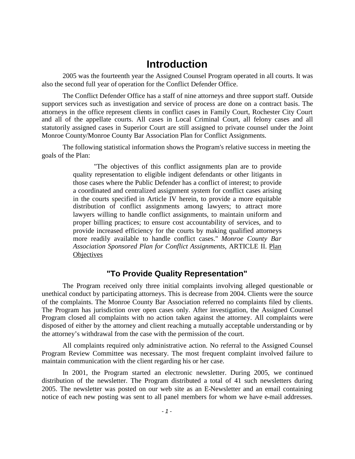#### <span id="page-2-0"></span>**Introduction**

2005 was the fourteenth year the Assigned Counsel Program operated in all courts. It was also the second full year of operation for the Conflict Defender Office.

The Conflict Defender Office has a staff of nine attorneys and three support staff. Outside support services such as investigation and service of process are done on a contract basis. The attorneys in the office represent clients in conflict cases in Family Court, Rochester City Court and all of the appellate courts. All cases in Local Criminal Court, all felony cases and all statutorily assigned cases in Superior Court are still assigned to private counsel under the Joint Monroe County/Monroe County Bar Association Plan for Conflict Assignments.

The following statistical information shows the Program's relative success in meeting the goals of the Plan:

> "The objectives of this conflict assignments plan are to provide quality representation to eligible indigent defendants or other litigants in those cases where the Public Defender has a conflict of interest; to provide a coordinated and centralized assignment system for conflict cases arising in the courts specified in Article IV herein, to provide a more equitable distribution of conflict assignments among lawyers; to attract more lawyers willing to handle conflict assignments, to maintain uniform and proper billing practices; to ensure cost accountability of services, and to provide increased efficiency for the courts by making qualified attorneys more readily available to handle conflict cases." *Monroe County Bar Association Sponsored Plan for Conflict Assignments*, ARTICLE II. Plan **Objectives**

#### <span id="page-2-1"></span>**"To Provide Quality Representation"**

The Program received only three initial complaints involving alleged questionable or unethical conduct by participating attorneys. This is decrease from 2004. Clients were the source of the complaints. The Monroe County Bar Association referred no complaints filed by clients. The Program has jurisdiction over open cases only. After investigation, the Assigned Counsel Program closed all complaints with no action taken against the attorney. All complaints were disposed of either by the attorney and client reaching a mutually acceptable understanding or by the attorney's withdrawal from the case with the permission of the court.

All complaints required only administrative action. No referral to the Assigned Counsel Program Review Committee was necessary. The most frequent complaint involved failure to maintain communication with the client regarding his or her case.

In 2001, the Program started an electronic newsletter. During 2005, we continued distribution of the newsletter. The Program distributed a total of 41 such newsletters during 2005. The newsletter was posted on our web site as an E-Newsletter and an email containing notice of each new posting was sent to all panel members for whom we have e-mail addresses.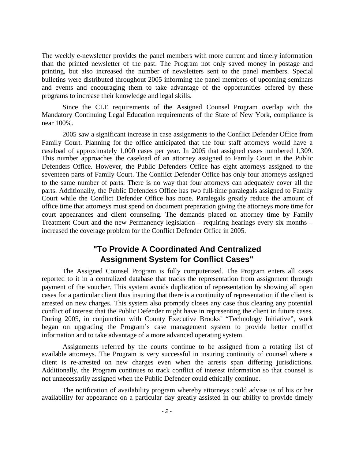The weekly e-newsletter provides the panel members with more current and timely information than the printed newsletter of the past. The Program not only saved money in postage and printing, but also increased the number of newsletters sent to the panel members. Special bulletins were distributed throughout 2005 informing the panel members of upcoming seminars and events and encouraging them to take advantage of the opportunities offered by these programs to increase their knowledge and legal skills.

Since the CLE requirements of the Assigned Counsel Program overlap with the Mandatory Continuing Legal Education requirements of the State of New York, compliance is near 100%.

2005 saw a significant increase in case assignments to the Conflict Defender Office from Family Court. Planning for the office anticipated that the four staff attorneys would have a caseload of approximately 1,000 cases per year. In 2005 that assigned cases numbered 1,309. This number approaches the caseload of an attorney assigned to Family Court in the Public Defenders Office. However, the Public Defenders Office has eight attorneys assigned to the seventeen parts of Family Court. The Conflict Defender Office has only four attorneys assigned to the same number of parts. There is no way that four attorneys can adequately cover all the parts. Additionally, the Public Defenders Office has two full-time paralegals assigned to Family Court while the Conflict Defender Office has none. Paralegals greatly reduce the amount of office time that attorneys must spend on document preparation giving the attorneys more time for court appearances and client counseling. The demands placed on attorney time by Family Treatment Court and the new Permanency legislation – requiring hearings every six months – increased the coverage problem for the Conflict Defender Office in 2005.

#### <span id="page-3-0"></span>**"To Provide A Coordinated And Centralized Assignment System for Conflict Cases"**

The Assigned Counsel Program is fully computerized. The Program enters all cases reported to it in a centralized database that tracks the representation from assignment through payment of the voucher. This system avoids duplication of representation by showing all open cases for a particular client thus insuring that there is a continuity of representation if the client is arrested on new charges. This system also promptly closes any case thus clearing any potential conflict of interest that the Public Defender might have in representing the client in future cases. During 2005, in conjunction with County Executive Brooks' "Technology Initiative", work began on upgrading the Program's case management system to provide better conflict information and to take advantage of a more advanced operating system.

Assignments referred by the courts continue to be assigned from a rotating list of available attorneys. The Program is very successful in insuring continuity of counsel where a client is re-arrested on new charges even when the arrests span differing jurisdictions. Additionally, the Program continues to track conflict of interest information so that counsel is not unnecessarily assigned when the Public Defender could ethically continue.

The notification of availability program whereby attorneys could advise us of his or her availability for appearance on a particular day greatly assisted in our ability to provide timely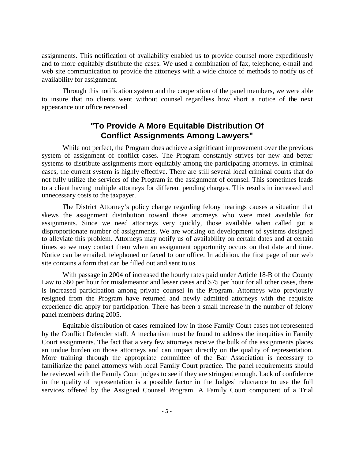assignments. This notification of availability enabled us to provide counsel more expeditiously and to more equitably distribute the cases. We used a combination of fax, telephone, e-mail and web site communication to provide the attorneys with a wide choice of methods to notify us of availability for assignment.

Through this notification system and the cooperation of the panel members, we were able to insure that no clients went without counsel regardless how short a notice of the next appearance our office received.

#### <span id="page-4-0"></span>**"To Provide A More Equitable Distribution Of Conflict Assignments Among Lawyers"**

While not perfect, the Program does achieve a significant improvement over the previous system of assignment of conflict cases. The Program constantly strives for new and better systems to distribute assignments more equitably among the participating attorneys. In criminal cases, the current system is highly effective. There are still several local criminal courts that do not fully utilize the services of the Program in the assignment of counsel. This sometimes leads to a client having multiple attorneys for different pending charges. This results in increased and unnecessary costs to the taxpayer.

The District Attorney's policy change regarding felony hearings causes a situation that skews the assignment distribution toward those attorneys who were most available for assignments. Since we need attorneys very quickly, those available when called got a disproportionate number of assignments. We are working on development of systems designed to alleviate this problem. Attorneys may notify us of availability on certain dates and at certain times so we may contact them when an assignment opportunity occurs on that date and time. Notice can be emailed, telephoned or faxed to our office. In addition, the first page of our web site contains a form that can be filled out and sent to us.

With passage in 2004 of increased the hourly rates paid under Article 18-B of the County Law to \$60 per hour for misdemeanor and lesser cases and \$75 per hour for all other cases, there is increased participation among private counsel in the Program. Attorneys who previously resigned from the Program have returned and newly admitted attorneys with the requisite experience did apply for participation. There has been a small increase in the number of felony panel members during 2005.

Equitable distribution of cases remained low in those Family Court cases not represented by the Conflict Defender staff. A mechanism must be found to address the inequities in Family Court assignments. The fact that a very few attorneys receive the bulk of the assignments places an undue burden on those attorneys and can impact directly on the quality of representation. More training through the appropriate committee of the Bar Association is necessary to familiarize the panel attorneys with local Family Court practice. The panel requirements should be reviewed with the Family Court judges to see if they are stringent enough. Lack of confidence in the quality of representation is a possible factor in the Judges' reluctance to use the full services offered by the Assigned Counsel Program. A Family Court component of a Trial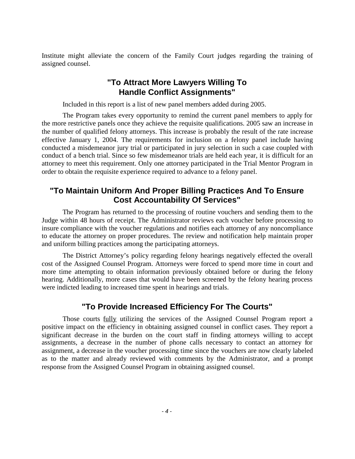Institute might alleviate the concern of the Family Court judges regarding the training of assigned counsel.

#### <span id="page-5-0"></span>**"To Attract More Lawyers Willing To Handle Conflict Assignments"**

Included in this report is a list of new panel members added during 2005.

The Program takes every opportunity to remind the current panel members to apply for the more restrictive panels once they achieve the requisite qualifications. 2005 saw an increase in the number of qualified felony attorneys. This increase is probably the result of the rate increase effective January 1, 2004. The requirements for inclusion on a felony panel include having conducted a misdemeanor jury trial or participated in jury selection in such a case coupled with conduct of a bench trial. Since so few misdemeanor trials are held each year, it is difficult for an attorney to meet this requirement. Only one attorney participated in the Trial Mentor Program in order to obtain the requisite experience required to advance to a felony panel.

#### <span id="page-5-1"></span>**"To Maintain Uniform And Proper Billing Practices And To Ensure Cost Accountability Of Services"**

The Program has returned to the processing of routine vouchers and sending them to the Judge within 48 hours of receipt. The Administrator reviews each voucher before processing to insure compliance with the voucher regulations and notifies each attorney of any noncompliance to educate the attorney on proper procedures. The review and notification help maintain proper and uniform billing practices among the participating attorneys.

The District Attorney's policy regarding felony hearings negatively effected the overall cost of the Assigned Counsel Program. Attorneys were forced to spend more time in court and more time attempting to obtain information previously obtained before or during the felony hearing. Additionally, more cases that would have been screened by the felony hearing process were indicted leading to increased time spent in hearings and trials.

#### <span id="page-5-2"></span>**"To Provide Increased Efficiency For The Courts"**

Those courts fully utilizing the services of the Assigned Counsel Program report a positive impact on the efficiency in obtaining assigned counsel in conflict cases. They report a significant decrease in the burden on the court staff in finding attorneys willing to accept assignments, a decrease in the number of phone calls necessary to contact an attorney for assignment, a decrease in the voucher processing time since the vouchers are now clearly labeled as to the matter and already reviewed with comments by the Administrator, and a prompt response from the Assigned Counsel Program in obtaining assigned counsel.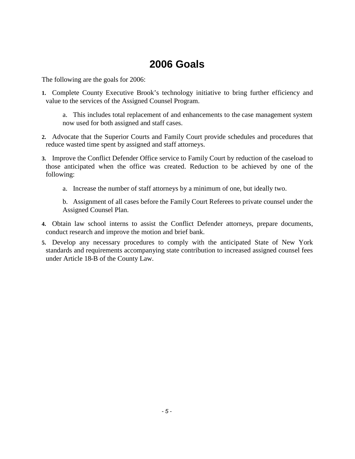# <span id="page-6-0"></span>**2006 Goals**

The following are the goals for 2006:

**1.** Complete County Executive Brook's technology initiative to bring further efficiency and value to the services of the Assigned Counsel Program.

a. This includes total replacement of and enhancements to the case management system now used for both assigned and staff cases.

- **2.** Advocate that the Superior Courts and Family Court provide schedules and procedures that reduce wasted time spent by assigned and staff attorneys.
- **3.** Improve the Conflict Defender Office service to Family Court by reduction of the caseload to those anticipated when the office was created. Reduction to be achieved by one of the following:
	- a. Increase the number of staff attorneys by a minimum of one, but ideally two.

b. Assignment of all cases before the Family Court Referees to private counsel under the Assigned Counsel Plan.

- **4.** Obtain law school interns to assist the Conflict Defender attorneys, prepare documents, conduct research and improve the motion and brief bank.
- **5.** Develop any necessary procedures to comply with the anticipated State of New York standards and requirements accompanying state contribution to increased assigned counsel fees under Article 18-B of the County Law.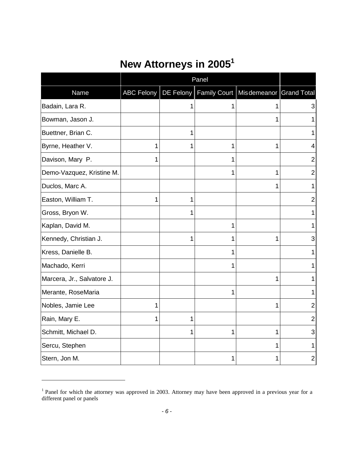# <span id="page-7-0"></span>**New Attorneys in 2005<sup>1</sup>**

|                            |                   |   | Panel        |                                                      |                |
|----------------------------|-------------------|---|--------------|------------------------------------------------------|----------------|
| Name                       | <b>ABC Felony</b> |   |              | DE Felony   Family Court   Misdemeanor   Grand Total |                |
| Badain, Lara R.            |                   |   |              |                                                      | 3              |
| Bowman, Jason J.           |                   |   |              |                                                      | 1              |
| Buettner, Brian C.         |                   |   |              |                                                      | 1              |
| Byrne, Heather V.          | 1                 |   | 1            | 1                                                    | 4              |
| Davison, Mary P.           | 1                 |   | 1            |                                                      | $\overline{2}$ |
| Demo-Vazquez, Kristine M.  |                   |   | 1            | 1                                                    | $\overline{2}$ |
| Duclos, Marc A.            |                   |   |              | 1                                                    | 1              |
| Easton, William T.         | 1                 | 1 |              |                                                      | $\overline{2}$ |
| Gross, Bryon W.            |                   | 1 |              |                                                      | 1              |
| Kaplan, David M.           |                   |   | 1            |                                                      | 1              |
| Kennedy, Christian J.      |                   | 1 | 1            | 1                                                    | 3              |
| Kress, Danielle B.         |                   |   | 1            |                                                      | 1              |
| Machado, Kerri             |                   |   | 1            |                                                      | 1              |
| Marcera, Jr., Salvatore J. |                   |   |              | 1                                                    | 1              |
| Merante, RoseMaria         |                   |   | $\mathbf{1}$ |                                                      | 1              |
| Nobles, Jamie Lee          | 1                 |   |              | 1                                                    | $\overline{2}$ |
| Rain, Mary E.              | 1                 |   |              |                                                      | 2              |
| Schmitt, Michael D.        |                   |   | 1            | 1                                                    | 3              |
| Sercu, Stephen             |                   |   |              |                                                      | 1              |
| Stern, Jon M.              |                   |   | 1            |                                                      | $\overline{2}$ |

<sup>&</sup>lt;sup>1</sup> Panel for which the attorney was approved in 2003. Attorney may have been approved in a previous year for a different panel or panels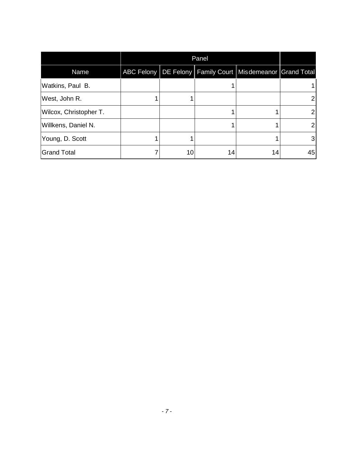|                        | Panel |    |                                                                   |    |  |
|------------------------|-------|----|-------------------------------------------------------------------|----|--|
| Name                   |       |    | ABC Felony   DE Felony   Family Court   Misdemeanor   Grand Total |    |  |
| Watkins, Paul B.       |       |    |                                                                   |    |  |
| West, John R.          |       |    |                                                                   |    |  |
| Wilcox, Christopher T. |       |    |                                                                   |    |  |
| Willkens, Daniel N.    |       |    |                                                                   |    |  |
| Young, D. Scott        |       |    |                                                                   | 3  |  |
| <b>Grand Total</b>     | 10    | 14 | 14                                                                | 45 |  |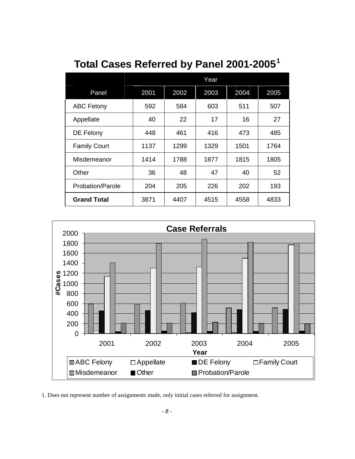|                         | Year |      |      |      |      |
|-------------------------|------|------|------|------|------|
| Panel                   | 2001 | 2002 | 2003 | 2004 | 2005 |
| <b>ABC Felony</b>       | 592  | 584  | 603  | 511  | 507  |
| Appellate               | 40   | 22   | 17   | 16   | 27   |
| DE Felony               | 448  | 461  | 416  | 473  | 485  |
| <b>Family Court</b>     | 1137 | 1299 | 1329 | 1501 | 1764 |
| Misdemeanor             | 1414 | 1788 | 1877 | 1815 | 1805 |
| Other                   | 36   | 48   | 47   | 40   | 52   |
| <b>Probation/Parole</b> | 204  | 205  | 226  | 202  | 193  |
| <b>Grand Total</b>      | 3871 | 4407 | 4515 | 4558 | 4833 |

## <span id="page-9-0"></span>**Total Cases Referred by Panel 2001-2005 1**



1. Does not represent number of assignments made, only initial cases referred for assignment.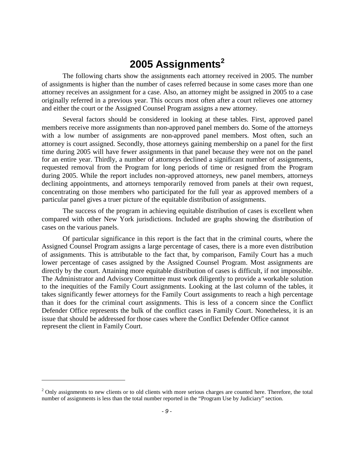## <span id="page-10-0"></span>**2005 Assignments[2](#page-10-1)**

The following charts show the assignments each attorney received in 2005. The number of assignments is higher than the number of cases referred because in some cases more than one attorney receives an assignment for a case. Also, an attorney might be assigned in 2005 to a case originally referred in a previous year. This occurs most often after a court relieves one attorney and either the court or the Assigned Counsel Program assigns a new attorney.

Several factors should be considered in looking at these tables. First, approved panel members receive more assignments than non-approved panel members do. Some of the attorneys with a low number of assignments are non-approved panel members. Most often, such an attorney is court assigned. Secondly, those attorneys gaining membership on a panel for the first time during 2005 will have fewer assignments in that panel because they were not on the panel for an entire year. Thirdly, a number of attorneys declined a significant number of assignments, requested removal from the Program for long periods of time or resigned from the Program during 2005. While the report includes non-approved attorneys, new panel members, attorneys declining appointments, and attorneys temporarily removed from panels at their own request, concentrating on those members who participated for the full year as approved members of a particular panel gives a truer picture of the equitable distribution of assignments.

The success of the program in achieving equitable distribution of cases is excellent when compared with other New York jurisdictions. Included are graphs showing the distribution of cases on the various panels.

Of particular significance in this report is the fact that in the criminal courts, where the Assigned Counsel Program assigns a large percentage of cases, there is a more even distribution of assignments. This is attributable to the fact that, by comparison, Family Court has a much lower percentage of cases assigned by the Assigned Counsel Program. Most assignments are directly by the court. Attaining more equitable distribution of cases is difficult, if not impossible. The Administrator and Advisory Committee must work diligently to provide a workable solution to the inequities of the Family Court assignments. Looking at the last column of the tables, it takes significantly fewer attorneys for the Family Court assignments to reach a high percentage than it does for the criminal court assignments. This is less of a concern since the Conflict Defender Office represents the bulk of the conflict cases in Family Court. Nonetheless, it is an issue that should be addressed for those cases where the Conflict Defender Office cannot represent the client in Family Court.

<span id="page-10-1"></span> $2$  Only assignments to new clients or to old clients with more serious charges are counted here. Therefore, the total number of assignments is less than the total number reported in the "Program Use by Judiciary" section.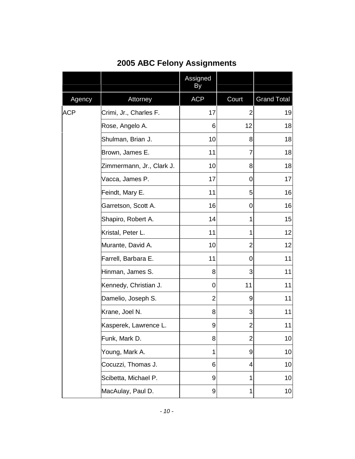|            |                           | Assigned<br>By |                |                    |
|------------|---------------------------|----------------|----------------|--------------------|
| Agency     | Attorney                  | <b>ACP</b>     | Court          | <b>Grand Total</b> |
| <b>ACP</b> | Crimi, Jr., Charles F.    | 17             | $\overline{2}$ | 19                 |
|            | Rose, Angelo A.           | 6              | 12             | 18                 |
|            | Shulman, Brian J.         | 10             | 8              | 18                 |
|            | Brown, James E.           | 11             | 7              | 18                 |
|            | Zimmermann, Jr., Clark J. | 10             | 8              | 18                 |
|            | Vacca, James P.           | 17             | 0              | 17                 |
|            | Feindt, Mary E.           | 11             | 5              | 16                 |
|            | Garretson, Scott A.       | 16             | 0              | 16                 |
|            | Shapiro, Robert A.        | 14             | 1              | 15                 |
|            | Kristal, Peter L.         | 11             | 1              | 12                 |
|            | Murante, David A.         | 10             | $\overline{2}$ | 12                 |
|            | Farrell, Barbara E.       | 11             | $\mathbf 0$    | 11                 |
|            | Hinman, James S.          | 8              | 3              | 11                 |
|            | Kennedy, Christian J.     | 0              | 11             | 11                 |
|            | Damelio, Joseph S.        | 2              | 9              | 11                 |
|            | Krane, Joel N.            | 8              | 3              | 11                 |
|            | Kasperek, Lawrence L.     | 9              | 2              | 11                 |
|            | Funk, Mark D.             | 8              | $\overline{2}$ | 10 <sup>1</sup>    |
|            | Young, Mark A.            | 1              | 9              | 10                 |
|            | Cocuzzi, Thomas J.        | 6              | 4              | 10                 |
|            | Scibetta, Michael P.      | 9              | 1              | 10                 |
|            | MacAulay, Paul D.         | 9              | 1              | 10 <sub>l</sub>    |

#### <span id="page-11-0"></span>**2005 ABC Felony Assignments**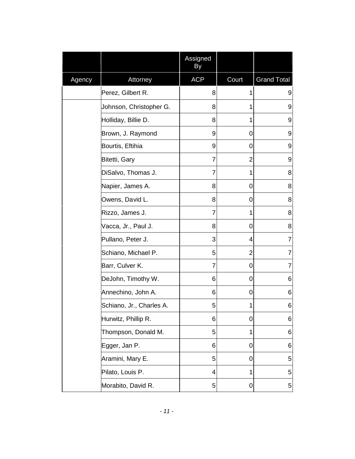|        |                          | Assigned<br>By |                |                    |
|--------|--------------------------|----------------|----------------|--------------------|
| Agency | Attorney                 | <b>ACP</b>     | Court          | <b>Grand Total</b> |
|        | Perez, Gilbert R.        | 8              | 1              | 9                  |
|        | Johnson, Christopher G.  | 8              | 1              | 9                  |
|        | Holliday, Billie D.      | 8              | 1              | 9                  |
|        | Brown, J. Raymond        | 9              | 0              | 9                  |
|        | Bourtis, Eftihia         | 9              | 0              | 9                  |
|        | Bitetti, Gary            | 7              | 2              | 9                  |
|        | DiSalvo, Thomas J.       | 7              | 1              | 8                  |
|        | Napier, James A.         | 8              | 0              | 8                  |
|        | Owens, David L.          | 8              | 0              | 8                  |
|        | Rizzo, James J.          | $\overline{7}$ | 1              | 8                  |
|        | Vacca, Jr., Paul J.      | 8              | 0              | 8                  |
|        | Pullano, Peter J.        | 3              | 4              | $\overline{7}$     |
|        | Schiano, Michael P.      | 5              | $\overline{2}$ | $\overline{7}$     |
|        | Barr, Culver K.          | $\overline{7}$ | 0              | $\overline{7}$     |
|        | DeJohn, Timothy W.       | 6              | 0              | 6                  |
|        | Annechino, John A.       | 6              | 0              | 6                  |
|        | Schiano, Jr., Charles A. | 5              | 1              | 6                  |
|        | Hurwitz, Phillip R.      | 6              | 0              | 6                  |
|        | Thompson, Donald M.      | 5              | 1              | $\,6$              |
|        | Egger, Jan P.            | 6              | 0              | 6                  |
|        | Aramini, Mary E.         | 5              | 0              | 5                  |
|        | Pilato, Louis P.         | 4              | 1              | 5                  |
|        | Morabito, David R.       | 5              | 0              | 5                  |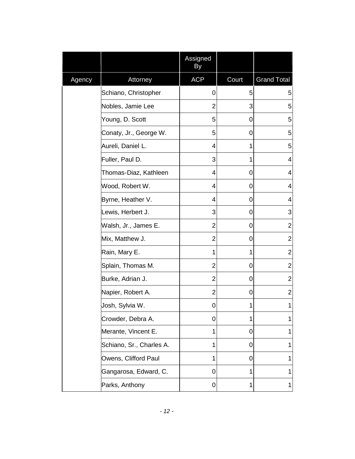|        |                          | Assigned<br>By |       |                         |
|--------|--------------------------|----------------|-------|-------------------------|
| Agency | Attorney                 | <b>ACP</b>     | Court | <b>Grand Total</b>      |
|        | Schiano, Christopher     | 0              | 5     | 5                       |
|        | Nobles, Jamie Lee        | $\overline{2}$ | 3     | 5                       |
|        | Young, D. Scott          | 5              | 0     | 5                       |
|        | Conaty, Jr., George W.   | 5              | 0     | 5                       |
|        | Aureli, Daniel L.        | 4              | 1     | 5                       |
|        | Fuller, Paul D.          | 3              | 1     | $\overline{\mathbf{4}}$ |
|        | Thomas-Diaz, Kathleen    | 4              | 0     | 4                       |
|        | Wood, Robert W.          | 4              | 0     | 4                       |
|        | Byrne, Heather V.        | 4              | 0     | 4                       |
|        | Lewis, Herbert J.        | 3              | 0     | 3                       |
|        | Walsh, Jr., James E.     | $\overline{2}$ | 0     | $\overline{2}$          |
|        | Mix, Matthew J.          | $\overline{2}$ | 0     | $\overline{2}$          |
|        | Rain, Mary E.            | 1              | 1     | $\overline{2}$          |
|        | Splain, Thomas M.        | $\overline{2}$ | 0     | $\overline{2}$          |
|        | Burke, Adrian J.         | $\overline{2}$ | 0     | $\overline{2}$          |
|        | Napier, Robert A.        | $\overline{2}$ | 0     | $\overline{2}$          |
|        | Josh, Sylvia W.          | 0              | 1     | $\mathbf 1$             |
|        | Crowder, Debra A.        | 0              | 1     | 1                       |
|        | Merante, Vincent E.      | $\mathbf{1}$   | 0     | 1                       |
|        | Schiano, Sr., Charles A. | 1              | 0     | 1                       |
|        | Owens, Clifford Paul     | 1              | 0     | 1                       |
|        | Gangarosa, Edward, C.    | 0              | 1     | 1                       |
|        | Parks, Anthony           | 0              | 1     | 1                       |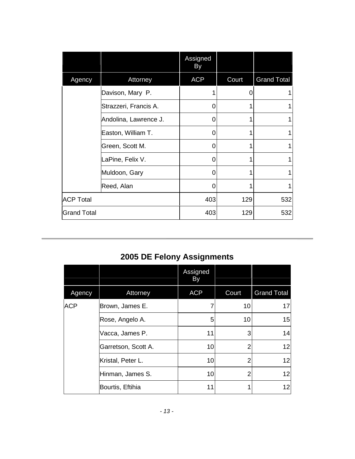|                    |                       | Assigned<br>By |       |                    |
|--------------------|-----------------------|----------------|-------|--------------------|
| Agency             | Attorney              | <b>ACP</b>     | Court | <b>Grand Total</b> |
|                    | Davison, Mary P.      |                |       |                    |
|                    | Strazzeri, Francis A. | 0              |       |                    |
|                    | Andolina, Lawrence J. | 0              |       |                    |
|                    | Easton, William T.    | 0              |       |                    |
|                    | Green, Scott M.       | 0              |       |                    |
|                    | LaPine, Felix V.      |                |       |                    |
|                    | Muldoon, Gary         | 0              |       |                    |
|                    | Reed, Alan            |                |       |                    |
| <b>ACP Total</b>   |                       | 403            | 129   | 532                |
| <b>Grand Total</b> |                       | 403            | 129   | 532                |

## <span id="page-14-0"></span>**2005 DE Felony Assignments**

|            |                     | Assigned<br>By |       |                    |
|------------|---------------------|----------------|-------|--------------------|
| Agency     | Attorney            | <b>ACP</b>     | Court | <b>Grand Total</b> |
| <b>ACP</b> | Brown, James E.     |                | 10    | 17                 |
|            | Rose, Angelo A.     | 5              | 10    | 15                 |
|            | Vacca, James P.     | 11             | 3     | 14                 |
|            | Garretson, Scott A. | 10             |       | 12 <sub>2</sub>    |
|            | Kristal, Peter L.   | 10             |       | 12 <sup>1</sup>    |
|            | Hinman, James S.    | 10             |       | 12                 |
|            | Bourtis, Eftihia    | 11             |       | 12                 |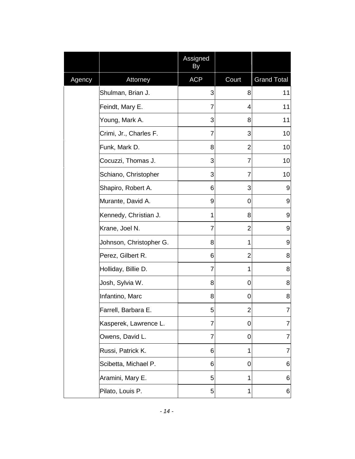|        |                         | Assigned<br>Вy |                         |                    |
|--------|-------------------------|----------------|-------------------------|--------------------|
| Agency | Attorney                | <b>ACP</b>     | Court                   | <b>Grand Total</b> |
|        | Shulman, Brian J.       | 3              | 8                       | 11                 |
|        | Feindt, Mary E.         | 7              | 4                       | 11                 |
|        | Young, Mark A.          | 3              | 8                       | 11                 |
|        | Crimi, Jr., Charles F.  | 7              | 3                       | 10                 |
|        | Funk, Mark D.           | 8              | $\overline{2}$          | 10                 |
|        | Cocuzzi, Thomas J.      | 3              | 7                       | 10                 |
|        | Schiano, Christopher    | 3              | 7                       | 10                 |
|        | Shapiro, Robert A.      | 6              | 3                       | 9                  |
|        | Murante, David A.       | 9              | 0                       | 9                  |
|        | Kennedy, Christian J.   | 1              | 8                       | 9                  |
|        | Krane, Joel N.          | 7              | $\overline{2}$          | 9                  |
|        | Johnson, Christopher G. | 8              | 1                       | 9                  |
|        | Perez, Gilbert R.       | 6              | $\overline{2}$          | 8                  |
|        | Holliday, Billie D.     | $\overline{7}$ | 1                       | 8                  |
|        | Josh, Sylvia W.         | 8              | 0                       | 8                  |
|        | Infantino, Marc         | 8              | 0                       | 8                  |
|        | Farrell, Barbara E.     | 5              | $\overline{\mathbf{c}}$ | $\overline{7}$     |
|        | Kasperek, Lawrence L.   | 7              | 0                       | 7                  |
|        | Owens, David L.         | 7              | 0                       | 7                  |
|        | Russi, Patrick K.       | 6              | 1                       | 7                  |
|        | Scibetta, Michael P.    | 6              | 0                       | 6                  |
|        | Aramini, Mary E.        | 5              | 1                       | 6                  |
|        | Pilato, Louis P.        | 5              | 1                       | 6                  |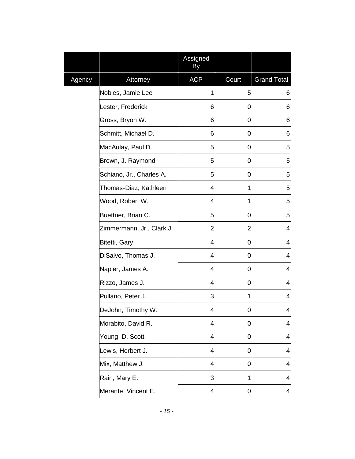|        |                           | Assigned<br>By |                |                    |
|--------|---------------------------|----------------|----------------|--------------------|
| Agency | Attorney                  | <b>ACP</b>     | Court          | <b>Grand Total</b> |
|        | Nobles, Jamie Lee         | 1              | 5              | 6                  |
|        | Lester, Frederick         | 6              | 0              | 6                  |
|        | Gross, Bryon W.           | 6              | 0              | 6                  |
|        | Schmitt, Michael D.       | 6              | 0              | 6                  |
|        | MacAulay, Paul D.         | 5              | 0              | 5                  |
|        | Brown, J. Raymond         | 5              | 0              | 5                  |
|        | Schiano, Jr., Charles A.  | 5              | 0              | 5                  |
|        | Thomas-Diaz, Kathleen     | 4              | 1              | 5                  |
|        | Wood, Robert W.           | 4              | 1              | 5                  |
|        | Buettner, Brian C.        | 5              | 0              | 5                  |
|        | Zimmermann, Jr., Clark J. | $\overline{2}$ | $\overline{2}$ | 4                  |
|        | Bitetti, Gary             | 4              | 0              | 4                  |
|        | DiSalvo, Thomas J.        | 4              | 0              | 4                  |
|        | Napier, James A.          | 4              | 0              | 4                  |
|        | Rizzo, James J.           | 4              | 0              | 4                  |
|        | Pullano, Peter J.         | 3              | 1              | 4                  |
|        | DeJohn, Timothy W.        | 4              | 0              | 4                  |
|        | Morabito, David R.        | 4              | 0              | 4                  |
|        | Young, D. Scott           | 4              | 0              | 4                  |
|        | Lewis, Herbert J.         | 4              | 0              | 4                  |
|        | Mix, Matthew J.           | 4              | 0              | 4                  |
|        | Rain, Mary E.             | 3              | 1              | 4                  |
|        | Merante, Vincent E.       | 4              | 0              | 4                  |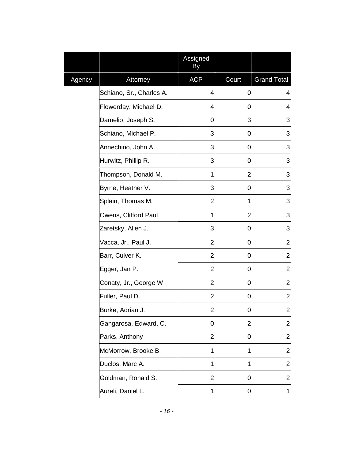|        |                          | Assigned<br>By |                |                         |
|--------|--------------------------|----------------|----------------|-------------------------|
| Agency | Attorney                 | <b>ACP</b>     | Court          | <b>Grand Total</b>      |
|        | Schiano, Sr., Charles A. | 4              | 0              | 4                       |
|        | Flowerday, Michael D.    | 4              | 0              | 4                       |
|        | Damelio, Joseph S.       | 0              | 3              | 3                       |
|        | Schiano, Michael P.      | 3              | 0              | 3                       |
|        | Annechino, John A.       | 3              | 0              | 3                       |
|        | Hurwitz, Phillip R.      | 3              | 0              | 3                       |
|        | Thompson, Donald M.      | 1              | $\overline{2}$ | 3                       |
|        | Byrne, Heather V.        | 3              | 0              | 3                       |
|        | Splain, Thomas M.        | 2              | 1              | 3                       |
|        | Owens, Clifford Paul     | 1              | $\overline{2}$ | 3                       |
|        | Zaretsky, Allen J.       | 3              | 0              | 3                       |
|        | Vacca, Jr., Paul J.      | $\overline{2}$ | 0              | $\overline{\mathbf{c}}$ |
|        | Barr, Culver K.          | 2              | 0              | $\overline{2}$          |
|        | Egger, Jan P.            | 2              | 0              | $\overline{2}$          |
|        | Conaty, Jr., George W.   | 2              | 0              | $\overline{2}$          |
|        | Fuller, Paul D.          | 2              | 0              | $\overline{2}$          |
|        | Burke, Adrian J.         | $\overline{c}$ | 0              | $\mathbf{2}$            |
|        | Gangarosa, Edward, C.    | 0              | $\overline{2}$ | $\overline{2}$          |
|        | Parks, Anthony           | $\overline{2}$ | 0              | $\overline{\mathbf{c}}$ |
|        | McMorrow, Brooke B.      | 1              | 1              | $\overline{\mathbf{c}}$ |
|        | Duclos, Marc A.          | 1              | 1              | 2                       |
|        | Goldman, Ronald S.       | $\overline{2}$ | 0              | $\overline{\mathbf{c}}$ |
|        | Aureli, Daniel L.        | 1              | 0              | $\mathbf 1$             |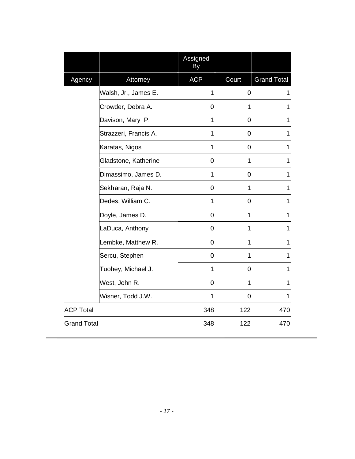|                    |                       | Assigned<br>By |             |                    |
|--------------------|-----------------------|----------------|-------------|--------------------|
| Agency             | Attorney              | <b>ACP</b>     | Court       | <b>Grand Total</b> |
|                    | Walsh, Jr., James E.  | 1              | $\mathbf 0$ |                    |
|                    | Crowder, Debra A.     | 0              | 1           | 1                  |
|                    | Davison, Mary P.      | 1              | 0           | 1                  |
|                    | Strazzeri, Francis A. | 1              | 0           | 1                  |
|                    | Karatas, Nigos        | 1              | 0           | 1                  |
|                    | Gladstone, Katherine  | $\mathbf 0$    | 1           | 1                  |
|                    | Dimassimo, James D.   | 1              | 0           | 1                  |
|                    | Sekharan, Raja N.     | 0              | 1           | 1                  |
|                    | Dedes, William C.     | 1              | 0           | 1                  |
|                    | Doyle, James D.       | $\mathbf 0$    | 1           | 1                  |
|                    | LaDuca, Anthony       | 0              | 1           | 1                  |
|                    | Lembke, Matthew R.    | 0              | 1           | 1                  |
|                    | Sercu, Stephen        | 0              | 1           | 1                  |
|                    | Tuohey, Michael J.    | $\mathbf{1}$   | 0           | 1                  |
|                    | West, John R.         | $\mathbf 0$    | 1           | 1                  |
|                    | Wisner, Todd J.W.     | 1              | 0           |                    |
| <b>ACP Total</b>   |                       | 348            | 122         | 470                |
| <b>Grand Total</b> |                       | 348            | 122         | 470                |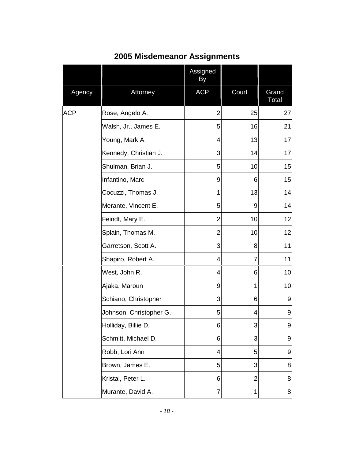|            |                         | Assigned<br>By |                |                  |
|------------|-------------------------|----------------|----------------|------------------|
| Agency     | Attorney                | <b>ACP</b>     | Court          | Grand<br>Total   |
| <b>ACP</b> | Rose, Angelo A.         | $\overline{2}$ | 25             | 27               |
|            | Walsh, Jr., James E.    | 5              | 16             | 21               |
|            | Young, Mark A.          | 4              | 13             | 17               |
|            | Kennedy, Christian J.   | 3              | 14             | 17               |
|            | Shulman, Brian J.       | 5              | 10             | 15               |
|            | Infantino, Marc         | 9              | 6              | 15               |
|            | Cocuzzi, Thomas J.      | 1              | 13             | 14               |
|            | Merante, Vincent E.     | 5              | 9              | 14               |
|            | Feindt, Mary E.         | 2              | 10             | 12               |
|            | Splain, Thomas M.       | $\overline{2}$ | 10             | 12               |
|            | Garretson, Scott A.     | 3              | 8              | 11               |
|            | Shapiro, Robert A.      | 4              | $\overline{7}$ | 11               |
|            | West, John R.           | 4              | 6              | 10               |
|            | Ajaka, Maroun           | 9              | 1              | 10               |
|            | Schiano, Christopher    | 3              | 6              | 9                |
|            | Johnson, Christopher G. | 5              | 4              | 9                |
|            | Holliday, Billie D.     | 6              | 3              | 9                |
|            | Schmitt, Michael D.     | 6              | 3              | $\boldsymbol{9}$ |
|            | Robb, Lori Ann          | 4              | 5              | 9                |
|            | Brown, James E.         | 5              | 3              | 8                |
|            | Kristal, Peter L.       | 6              | $\overline{2}$ | 8                |
|            | Murante, David A.       | 7              | 1              | 8                |

### <span id="page-19-0"></span>**2005 Misdemeanor Assignments**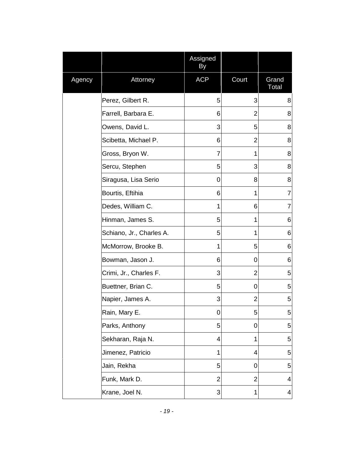|        |                          | Assigned<br>By |                |                |
|--------|--------------------------|----------------|----------------|----------------|
| Agency | Attorney                 | <b>ACP</b>     | Court          | Grand<br>Total |
|        | Perez, Gilbert R.        | 5              | 3              | 8              |
|        | Farrell, Barbara E.      | 6              | 2              | 8              |
|        | Owens, David L.          | 3              | 5              | 8              |
|        | Scibetta, Michael P.     | 6              | 2              | 8              |
|        | Gross, Bryon W.          | $\overline{7}$ | 1              | 8              |
|        | Sercu, Stephen           | 5              | 3              | 8              |
|        | Siragusa, Lisa Serio     | 0              | 8              | 8              |
|        | Bourtis, Eftihia         | 6              | 1              | $\overline{7}$ |
|        | Dedes, William C.        | 1              | 6              | $\overline{7}$ |
|        | Hinman, James S.         | 5              | 1              | 6              |
|        | Schiano, Jr., Charles A. | 5              | 1              | 6              |
|        | McMorrow, Brooke B.      | 1              | 5              | 6              |
|        | Bowman, Jason J.         | 6              | 0              | 6              |
|        | Crimi, Jr., Charles F.   | 3              | $\overline{2}$ | 5              |
|        | Buettner, Brian C.       | 5              | 0              | 5              |
|        | Napier, James A.         | 3              | $\overline{2}$ | 5              |
|        | Rain, Mary E.            | $\mathbf 0$    | 5              | 5              |
|        | Parks, Anthony           | 5              | 0              | 5              |
|        | Sekharan, Raja N.        | 4              | 1              | 5              |
|        | Jimenez, Patricio        | 1              | 4              | 5              |
|        | Jain, Rekha              | 5              | 0              | 5              |
|        | Funk, Mark D.            | $\overline{2}$ | $\overline{2}$ | 4              |
|        | Krane, Joel N.           | 3              | 1              | 4              |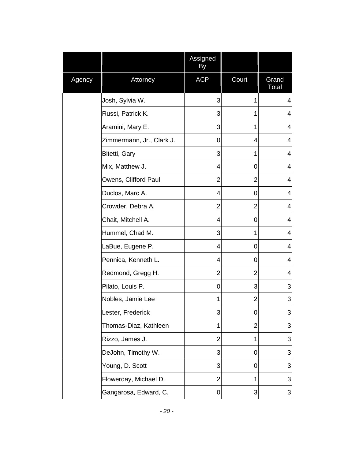|        |                           | Assigned<br>By |                |                           |
|--------|---------------------------|----------------|----------------|---------------------------|
| Agency | Attorney                  | <b>ACP</b>     | Court          | Grand<br>Total            |
|        | Josh, Sylvia W.           | 3              | 1              | 4                         |
|        | Russi, Patrick K.         | 3              | 1              | 4                         |
|        | Aramini, Mary E.          | 3              | 1              | 4                         |
|        | Zimmermann, Jr., Clark J. | 0              | 4              | 4                         |
|        | Bitetti, Gary             | 3              | 1              | 4                         |
|        | Mix, Matthew J.           | 4              | 0              | 4                         |
|        | Owens, Clifford Paul      | 2              | 2              | 4                         |
|        | Duclos, Marc A.           | 4              | 0              | 4                         |
|        | Crowder, Debra A.         | 2              | $\overline{2}$ | 4                         |
|        | Chait, Mitchell A.        | 4              | 0              | 4                         |
|        | Hummel, Chad M.           | 3              | 1              | 4                         |
|        | LaBue, Eugene P.          | 4              | 0              | 4                         |
|        | Pennica, Kenneth L.       | 4              | 0              | 4                         |
|        | Redmond, Gregg H.         | $\overline{2}$ | $\overline{2}$ | 4                         |
|        | Pilato, Louis P.          | 0              | 3              | 3                         |
|        | Nobles, Jamie Lee         | 1              | $\overline{2}$ | 3                         |
|        | Lester, Frederick         | 3              | 0              | 3                         |
|        | Thomas-Diaz, Kathleen     | 1              | $\overline{2}$ | 3                         |
|        | Rizzo, James J.           | $\overline{2}$ | 1              | 3                         |
|        | DeJohn, Timothy W.        | 3              | 0              | 3                         |
|        | Young, D. Scott           | 3              | 0              | 3                         |
|        | Flowerday, Michael D.     | $\overline{2}$ | 1              | 3                         |
|        | Gangarosa, Edward, C.     | 0              | 3              | $\ensuremath{\mathsf{3}}$ |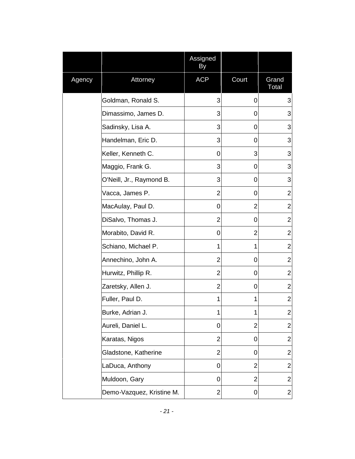|        |                           | Assigned<br>By |                |                         |
|--------|---------------------------|----------------|----------------|-------------------------|
| Agency | Attorney                  | <b>ACP</b>     | Court          | Grand<br>Total          |
|        | Goldman, Ronald S.        | 3              | 0              | 3                       |
|        | Dimassimo, James D.       | 3              | 0              | 3                       |
|        | Sadinsky, Lisa A.         | 3              | 0              | 3                       |
|        | Handelman, Eric D.        | 3              | 0              | 3                       |
|        | Keller, Kenneth C.        | 0              | 3              | 3                       |
|        | Maggio, Frank G.          | 3              | 0              | 3                       |
|        | O'Neill, Jr., Raymond B.  | 3              | 0              | 3                       |
|        | Vacca, James P.           | $\overline{2}$ | 0              | $\overline{2}$          |
|        | MacAulay, Paul D.         | 0              | $\overline{2}$ | $\overline{2}$          |
|        | DiSalvo, Thomas J.        | $\overline{2}$ | 0              | $\overline{2}$          |
|        | Morabito, David R.        | 0              | $\overline{2}$ | $\overline{2}$          |
|        | Schiano, Michael P.       | 1              | 1              | $\overline{2}$          |
|        | Annechino, John A.        | $\overline{2}$ | 0              | $\overline{2}$          |
|        | Hurwitz, Phillip R.       | $\overline{2}$ | 0              | $\overline{2}$          |
|        | Zaretsky, Allen J.        | $\overline{2}$ | 0              | $\overline{2}$          |
|        | Fuller, Paul D.           | 1              | 1              | $\overline{2}$          |
|        | Burke, Adrian J.          | 1              | 1              | $\overline{c}$          |
|        | Aureli, Daniel L.         | 0              | $\overline{2}$ | $\overline{2}$          |
|        | Karatas, Nigos            | $\overline{2}$ | 0              | $\overline{2}$          |
|        | Gladstone, Katherine      | $\overline{2}$ | 0              | $\overline{2}$          |
|        | LaDuca, Anthony           | 0              | $\overline{2}$ | $\overline{2}$          |
|        | Muldoon, Gary             | 0              | $\overline{2}$ | $\overline{2}$          |
|        | Demo-Vazquez, Kristine M. | $\overline{2}$ | 0              | $\overline{\mathbf{c}}$ |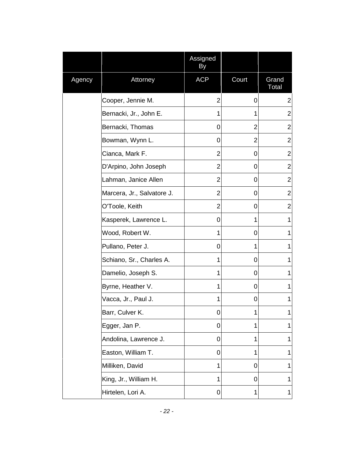|        |                            | Assigned<br>By |                |                |
|--------|----------------------------|----------------|----------------|----------------|
| Agency | Attorney                   | <b>ACP</b>     | Court          | Grand<br>Total |
|        | Cooper, Jennie M.          | 2              | 0              | $\overline{2}$ |
|        | Bernacki, Jr., John E.     | 1              | 1              | 2              |
|        | Bernacki, Thomas           | 0              | 2              | 2              |
|        | Bowman, Wynn L.            | 0              | $\overline{2}$ | $\overline{2}$ |
|        | Cianca, Mark F.            | 2              | 0              | $\overline{2}$ |
|        | D'Arpino, John Joseph      | 2              | 0              | $\overline{2}$ |
|        | Lahman, Janice Allen       | 2              | 0              | $\overline{2}$ |
|        | Marcera, Jr., Salvatore J. | 2              | 0              | $\overline{2}$ |
|        | O'Toole, Keith             | $\overline{2}$ | 0              | $\overline{2}$ |
|        | Kasperek, Lawrence L.      | 0              | 1              | 1              |
|        | Wood, Robert W.            | 1              | 0              | 1              |
|        | Pullano, Peter J.          | 0              | 1              | 1              |
|        | Schiano, Sr., Charles A.   | 1              | 0              | 1              |
|        | Damelio, Joseph S.         | 1              | 0              | 1              |
|        | Byrne, Heather V.          | 1              | 0              | 1              |
|        | Vacca, Jr., Paul J.        | 1              | 0              | 1              |
|        | Barr, Culver K.            | 0              | 1              | 1              |
|        | Egger, Jan P.              | 0              | 1              | 1              |
|        | Andolina, Lawrence J.      | 0              | 1              | 1              |
|        | Easton, William T.         | 0              | 1              | 1              |
|        | Milliken, David            | 1              | 0              | 1              |
|        | King, Jr., William H.      | 1              | 0              | 1              |
|        | Hirtelen, Lori A.          | 0              | 1              | 1              |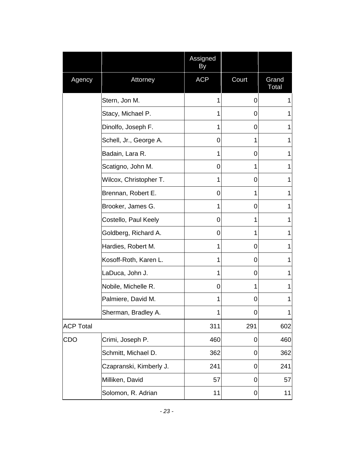|                  |                         | Assigned<br>By |             |                |
|------------------|-------------------------|----------------|-------------|----------------|
| Agency           | Attorney                | <b>ACP</b>     | Court       | Grand<br>Total |
|                  | Stern, Jon M.           | 1              | 0           | 1              |
|                  | Stacy, Michael P.       | 1              | 0           | 1              |
|                  | Dinolfo, Joseph F.      | 1              | 0           | 1              |
|                  | Schell, Jr., George A.  | 0              | 1           | 1              |
|                  | Badain, Lara R.         | 1              | 0           | 1              |
|                  | Scatigno, John M.       | 0              | 1           | 1              |
|                  | Wilcox, Christopher T.  | 1              | 0           | 1              |
|                  | Brennan, Robert E.      | 0              | 1           | 1              |
|                  | Brooker, James G.       | 1              | 0           | 1              |
|                  | Costello, Paul Keely    | 0              | 1           | 1              |
|                  | Goldberg, Richard A.    | 0              | 1           | 1              |
|                  | Hardies, Robert M.      | 1              | 0           | 1              |
|                  | Kosoff-Roth, Karen L.   | 1              | 0           | 1              |
|                  | LaDuca, John J.         | 1              | 0           | 1              |
|                  | Nobile, Michelle R.     | 0              | 1           | 1              |
|                  | Palmiere, David M.      | 1              | 0           | 1              |
|                  | Sherman, Bradley A.     | 1              | 0           | 1              |
| <b>ACP Total</b> |                         | 311            | 291         | 602            |
| <b>CDO</b>       | Crimi, Joseph P.        | 460            | 0           | 460            |
|                  | Schmitt, Michael D.     | 362            | 0           | 362            |
|                  | Czapranski, Kimberly J. | 241            | 0           | 241            |
|                  | Milliken, David         | 57             | 0           | 57             |
|                  | Solomon, R. Adrian      | 11             | $\mathbf 0$ | 11             |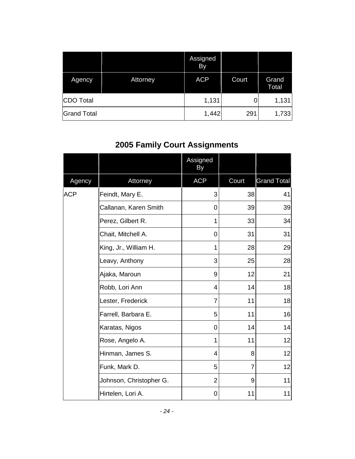|                    |          | Assigned<br>By |       |                |
|--------------------|----------|----------------|-------|----------------|
| Agency             | Attorney | <b>ACP</b>     | Court | Grand<br>Total |
| CDO Total          |          | 1,131          |       | 1,131          |
| <b>Grand Total</b> |          | 1,442          | 291   | 1,733          |

# <span id="page-25-0"></span>**2005 Family Court Assignments**

|            |                         | Assigned<br>By |       |                    |
|------------|-------------------------|----------------|-------|--------------------|
| Agency     | Attorney                | <b>ACP</b>     | Court | <b>Grand Total</b> |
| <b>ACP</b> | Feindt, Mary E.         | 3              | 38    | 41                 |
|            | Callanan, Karen Smith   | 0              | 39    | 39                 |
|            | Perez, Gilbert R.       | 1              | 33    | 34                 |
|            | Chait, Mitchell A.      | 0              | 31    | 31                 |
|            | King, Jr., William H.   | 1              | 28    | 29                 |
|            | Leavy, Anthony          | 3              | 25    | 28                 |
|            | Ajaka, Maroun           | 9              | 12    | 21                 |
|            | Robb, Lori Ann          | 4              | 14    | 18                 |
|            | Lester, Frederick       | $\overline{7}$ | 11    | 18                 |
|            | Farrell, Barbara E.     | 5              | 11    | 16                 |
|            | Karatas, Nigos          | $\overline{0}$ | 14    | 14                 |
|            | Rose, Angelo A.         | 1              | 11    | 12                 |
|            | Hinman, James S.        | 4              | 8     | 12                 |
|            | Funk, Mark D.           | 5              | 7     | 12                 |
|            | Johnson, Christopher G. | $\overline{2}$ | 9     | 11                 |
|            | Hirtelen, Lori A.       | 0              | 11    | 11                 |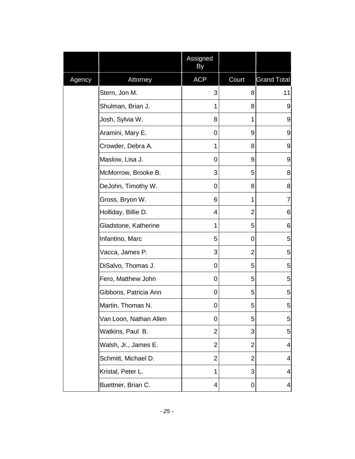|        |                        | Assigned<br>By |                |                          |
|--------|------------------------|----------------|----------------|--------------------------|
| Agency | Attorney               | <b>ACP</b>     | Court          | <b>Grand Total</b>       |
|        | Stern, Jon M.          | 3              | 8              | 11                       |
|        | Shulman, Brian J.      | 1              | 8              | 9                        |
|        | Josh, Sylvia W.        | 8              | 1              | 9                        |
|        | Aramini, Mary E.       | 0              | 9              | 9                        |
|        | Crowder, Debra A.      | 1              | 8              | 9                        |
|        | Maslow, Lisa J.        | 0              | 9              | 9                        |
|        | McMorrow, Brooke B.    | 3              | 5              | 8                        |
|        | DeJohn, Timothy W.     | 0              | 8              | 8                        |
|        | Gross, Bryon W.        | 6              | 1              | $\overline{7}$           |
|        | Holliday, Billie D.    | 4              | $\overline{2}$ | 6                        |
|        | Gladstone, Katherine   | 1              | 5              | 6                        |
|        | Infantino, Marc        | 5              | 0              | 5                        |
|        | Vacca, James P.        | 3              | 2              | 5                        |
|        | DiSalvo, Thomas J.     | 0              | 5              | 5                        |
|        | Fero, Matthew John     | 0              | 5              | 5                        |
|        | Gibbons, Patricia Ann  | 0              | 5              | 5                        |
|        | Martin, Thomas N.      | 0              | 5              | 5                        |
|        | Van Loon, Nathan Allen | 0              | 5              | 5                        |
|        | Watkins, Paul B.       | 2              | 3              | 5                        |
|        | Walsh, Jr., James E.   | $\overline{2}$ | $\overline{2}$ | $\overline{4}$           |
|        | Schmitt, Michael D.    | $\overline{2}$ | $\overline{2}$ | $\overline{4}$           |
|        | Kristal, Peter L.      | 1              | 3              | $\overline{\mathcal{A}}$ |
|        | Buettner, Brian C.     | 4              | 0              | 4                        |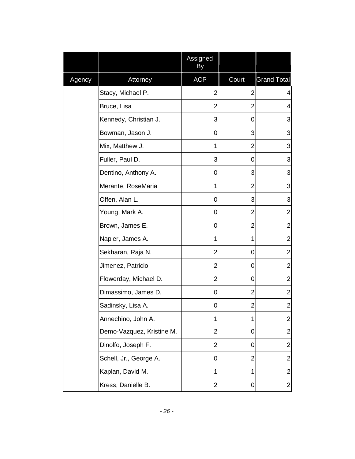|        |                           | Assigned<br>By |                |                    |
|--------|---------------------------|----------------|----------------|--------------------|
| Agency | Attorney                  | <b>ACP</b>     | Court          | <b>Grand Total</b> |
|        | Stacy, Michael P.         | 2              | 2              | 4                  |
|        | Bruce, Lisa               | 2              | $\overline{2}$ | $\overline{4}$     |
|        | Kennedy, Christian J.     | 3              | 0              | 3                  |
|        | Bowman, Jason J.          | 0              | 3              | 3                  |
|        | Mix, Matthew J.           | 1              | $\overline{2}$ | 3                  |
|        | Fuller, Paul D.           | 3              | 0              | 3                  |
|        | Dentino, Anthony A.       | 0              | 3              | 3                  |
|        | Merante, RoseMaria        | 1              | $\overline{2}$ | 3                  |
|        | Offen, Alan L.            | 0              | 3              | 3                  |
|        | Young, Mark A.            | 0              | $\overline{2}$ | $\overline{2}$     |
|        | Brown, James E.           | 0              | $\overline{2}$ | $\overline{2}$     |
|        | Napier, James A.          | 1              | 1              | $\overline{c}$     |
|        | Sekharan, Raja N.         | 2              | 0              | $\overline{2}$     |
|        | Jimenez, Patricio         | $\overline{2}$ | 0              | $\overline{2}$     |
|        | Flowerday, Michael D.     | 2              | 0              | $\overline{2}$     |
|        | Dimassimo, James D.       | 0              | $\overline{2}$ | $\overline{c}$     |
|        | Sadinsky, Lisa A.         | 0              | $\overline{2}$ | $\overline{c}$     |
|        | Annechino, John A.        | 1              | 1              | $\overline{c}$     |
|        | Demo-Vazquez, Kristine M. | $\overline{2}$ | 0              | $\overline{2}$     |
|        | Dinolfo, Joseph F.        | 2              | 0              | $\overline{c}$     |
|        | Schell, Jr., George A.    | 0              | $\overline{2}$ | $\overline{c}$     |
|        | Kaplan, David M.          | 1              | 1              | $\overline{2}$     |
|        | Kress, Danielle B.        | 2              | 0              | $\overline{a}$     |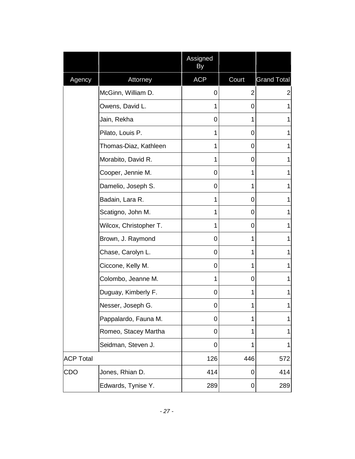|                  |                        | Assigned<br>By |       |                    |
|------------------|------------------------|----------------|-------|--------------------|
| Agency           | Attorney               | <b>ACP</b>     | Court | <b>Grand Total</b> |
|                  | McGinn, William D.     | 0              | 2     | 2                  |
|                  | Owens, David L.        | 1              | 0     | 1                  |
|                  | Jain, Rekha            | 0              | 1     | 1                  |
|                  | Pilato, Louis P.       | 1              | 0     | 1                  |
|                  | Thomas-Diaz, Kathleen  | 1              | 0     | 1                  |
|                  | Morabito, David R.     | 1              | 0     | 1                  |
|                  | Cooper, Jennie M.      | 0              | 1     | 1                  |
|                  | Damelio, Joseph S.     | 0              | 1     | 1                  |
|                  | Badain, Lara R.        | 1              | 0     | 1                  |
|                  | Scatigno, John M.      | 1              | 0     | 1                  |
|                  | Wilcox, Christopher T. | 1              | 0     | 1                  |
|                  | Brown, J. Raymond      | 0              | 1     | 1                  |
|                  | Chase, Carolyn L.      | 0              | 1     | 1                  |
|                  | Ciccone, Kelly M.      | 0              | 1     | 1                  |
|                  | Colombo, Jeanne M.     | 1              | 0     | 1                  |
|                  | Duguay, Kimberly F.    | 0              | 1     | 1                  |
|                  | Nesser, Joseph G.      | 0              | 1     | 1                  |
|                  | Pappalardo, Fauna M.   | 0              | 1     | 1                  |
|                  | Romeo, Stacey Martha   | 0              | 1     | 1                  |
|                  | Seidman, Steven J.     | $\mathbf 0$    | 1     | 1                  |
| <b>ACP Total</b> |                        | 126            | 446   | 572                |
| <b>CDO</b>       | Jones, Rhian D.        | 414            | 0     | 414                |
|                  | Edwards, Tynise Y.     | 289            | 0     | 289                |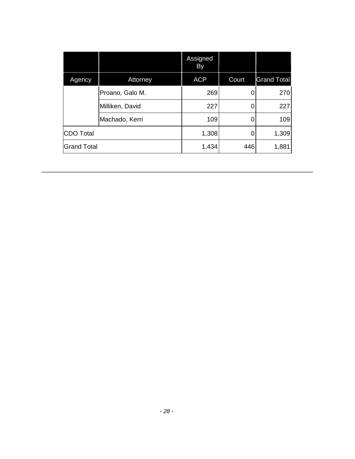|                    |                 | Assigned<br>By |       |                    |
|--------------------|-----------------|----------------|-------|--------------------|
| Agency             | Attorney        | <b>ACP</b>     | Court | <b>Grand Total</b> |
|                    | Proano, Galo M. | 269            |       | 270                |
|                    | Milliken, David | 227            |       | 227                |
|                    | Machado, Kerri  | 109            |       | 109                |
| <b>CDO Total</b>   |                 | 1,308          |       | 1,309              |
| <b>Grand Total</b> |                 | 1,434          | 446   | 1,881              |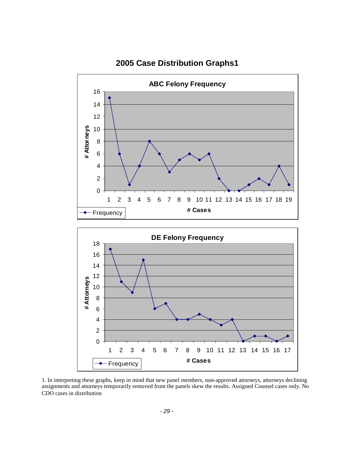

#### <span id="page-30-0"></span>**2005 Case Distribution Graphs1**

1. In interpreting these graphs, keep in mind that new panel members, non-approved attorneys, attorneys declining assignments and attorneys temporarily removed from the panels skew the results. Assigned Counsel cases only. No CDO cases in distribution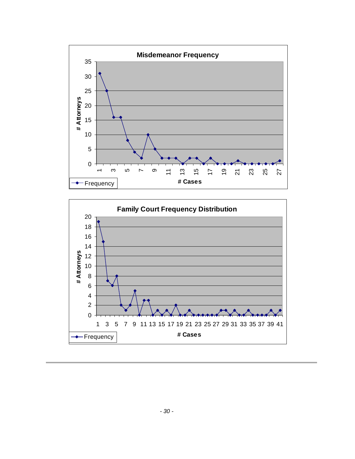

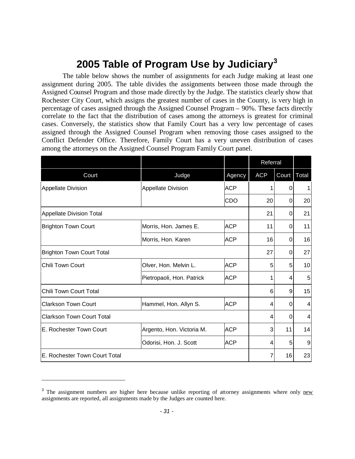# <span id="page-32-0"></span>**2005 Table of Program Use by Judiciary[3](#page-32-1)**

The table below shows the number of assignments for each Judge making at least one assignment during 2005. The table divides the assignments between those made through the Assigned Counsel Program and those made directly by the Judge. The statistics clearly show that Rochester City Court, which assigns the greatest number of cases in the County, is very high in percentage of cases assigned through the Assigned Counsel Program – 90%. These facts directly correlate to the fact that the distribution of cases among the attorneys is greatest for criminal cases. Conversely, the statistics show that Family Court has a very low percentage of cases assigned through the Assigned Counsel Program when removing those cases assigned to the Conflict Defender Office. Therefore, Family Court has a very uneven distribution of cases among the attorneys on the Assigned Counsel Program Family Court panel.

|                                  |                           |            | Referral   |               |    |
|----------------------------------|---------------------------|------------|------------|---------------|----|
| Court                            | Judge                     | Agency     | <b>ACP</b> | Court   Total |    |
| <b>Appellate Division</b>        | <b>Appellate Division</b> | ACP        |            | 0             | 1  |
|                                  |                           | <b>CDO</b> | 20         | $\Omega$      | 20 |
| <b>Appellate Division Total</b>  |                           |            | 21         | 0             | 21 |
| <b>Brighton Town Court</b>       | Morris, Hon. James E.     | <b>ACP</b> | 11         | $\Omega$      | 11 |
|                                  | Morris, Hon. Karen        | <b>ACP</b> | 16         | 0             | 16 |
| <b>Brighton Town Court Total</b> |                           |            | 27         | 0             | 27 |
| <b>Chili Town Court</b>          | Olver, Hon. Melvin L.     | <b>ACP</b> | 5          | 5             | 10 |
|                                  | Pietropaoli, Hon. Patrick | <b>ACP</b> | 1          | 4             | 5  |
| Chili Town Court Total           |                           |            | 6          | 9             | 15 |
| <b>Clarkson Town Court</b>       | Hammel, Hon. Allyn S.     | <b>ACP</b> | 4          | 0             | 4  |
| <b>Clarkson Town Court Total</b> |                           |            | 4          | 0             | 4  |
| E. Rochester Town Court          | Argento, Hon. Victoria M. | <b>ACP</b> | 3          | 11            | 14 |
|                                  | Odorisi, Hon. J. Scott    | <b>ACP</b> | 4          | 5             | 9  |
| E. Rochester Town Court Total    |                           |            |            | 16            | 23 |

<span id="page-32-1"></span><sup>&</sup>lt;sup>3</sup> The assignment numbers are higher here because unlike reporting of attorney assignments where only new assignments are reported, all assignments made by the Judges are counted here.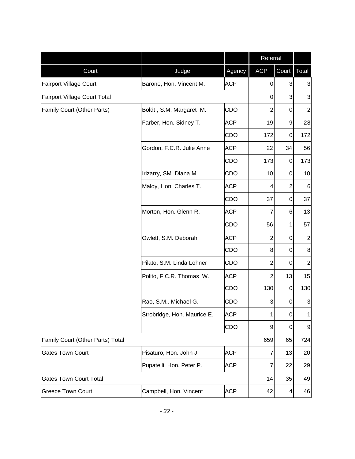|                                  |                             |            | Referral       |                  |                 |
|----------------------------------|-----------------------------|------------|----------------|------------------|-----------------|
| Court                            | Judge                       | Agency     | <b>ACP</b>     | Court            | Total           |
| <b>Fairport Village Court</b>    | Barone, Hon. Vincent M.     | <b>ACP</b> | 0              | 3                | 3               |
| Fairport Village Court Total     |                             |            | 0              | 3                | 3               |
| Family Court (Other Parts)       | Boldt, S.M. Margaret M.     | CDO        | $\overline{2}$ | $\Omega$         | $\overline{2}$  |
|                                  | Farber, Hon. Sidney T.      | <b>ACP</b> | 19             | $\boldsymbol{9}$ | 28              |
|                                  |                             | <b>CDO</b> | 172            | $\boldsymbol{0}$ | 172             |
|                                  | Gordon, F.C.R. Julie Anne   | <b>ACP</b> | 22             | 34               | 56              |
|                                  |                             | <b>CDO</b> | 173            | 0                | 173             |
|                                  | Irizarry, SM. Diana M.      | <b>CDO</b> | 10             | 0                | 10              |
|                                  | Maloy, Hon. Charles T.      | <b>ACP</b> | 4              | $\overline{2}$   | $6\phantom{1}6$ |
|                                  |                             | CDO        | 37             | $\boldsymbol{0}$ | 37              |
|                                  | Morton, Hon. Glenn R.       | <b>ACP</b> | $\overline{7}$ | 6                | 13              |
|                                  |                             | CDO        | 56             | 1                | 57              |
|                                  | Owlett, S.M. Deborah        | <b>ACP</b> | $\overline{2}$ | 0                | $\mathbf 2$     |
|                                  |                             | <b>CDO</b> | 8              | 0                | 8               |
|                                  | Pilato, S.M. Linda Lohner   | <b>CDO</b> | $\overline{2}$ | $\Omega$         | $\mathbf 2$     |
|                                  | Polito, F.C.R. Thomas W.    | <b>ACP</b> | $\overline{2}$ | 13               | 15              |
|                                  |                             | CDO        | 130            | $\boldsymbol{0}$ | 130             |
|                                  | Rao, S.M Michael G.         | <b>CDO</b> | 3              | 0                | 3               |
|                                  | Strobridge, Hon. Maurice E. | <b>ACP</b> | 1              | 0                | 1               |
|                                  |                             | <b>CDO</b> | 9              | 0                | 9               |
| Family Court (Other Parts) Total |                             |            | 659            | 65               | 724             |
| <b>Gates Town Court</b>          | Pisaturo, Hon. John J.      | <b>ACP</b> | $\overline{7}$ | 13               | 20              |
|                                  | Pupatelli, Hon. Peter P.    | <b>ACP</b> | $\overline{7}$ | 22               | 29              |
| <b>Gates Town Court Total</b>    |                             |            | 14             | 35               | 49              |
| <b>Greece Town Court</b>         | Campbell, Hon. Vincent      | <b>ACP</b> | 42             | 4                | 46              |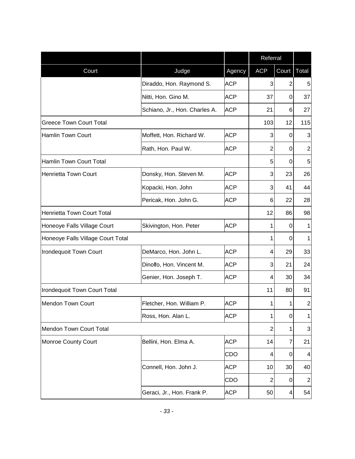|                                   |                               |            | Referral       |             |                |
|-----------------------------------|-------------------------------|------------|----------------|-------------|----------------|
| Court                             | Judge                         | Agency     | <b>ACP</b>     | Court       | Total          |
|                                   | Diraddo, Hon. Raymond S.      | <b>ACP</b> | 3              | 2           | 5              |
|                                   | Nitti, Hon. Gino M.           | <b>ACP</b> | 37             | $\mathbf 0$ | 37             |
|                                   | Schiano, Jr., Hon. Charles A. | <b>ACP</b> | 21             | 6           | 27             |
| <b>Greece Town Court Total</b>    |                               |            | 103            | 12          | 115            |
| <b>Hamlin Town Court</b>          | Moffett, Hon. Richard W.      | <b>ACP</b> | 3              | $\Omega$    | 3              |
|                                   | Rath, Hon. Paul W.            | <b>ACP</b> | $\overline{2}$ | 0           | $\mathbf{2}$   |
| <b>Hamlin Town Court Total</b>    |                               |            | 5              | $\Omega$    | 5              |
| <b>Henrietta Town Court</b>       | Donsky, Hon. Steven M.        | <b>ACP</b> | 3              | 23          | 26             |
|                                   | Kopacki, Hon. John            | <b>ACP</b> | 3              | 41          | 44             |
|                                   | Pericak, Hon. John G.         | <b>ACP</b> | 6              | 22          | 28             |
| Henrietta Town Court Total        |                               |            | 12             | 86          | 98             |
| Honeoye Falls Village Court       | Skivington, Hon. Peter        | <b>ACP</b> | 1              | $\Omega$    | 1              |
| Honeoye Falls Village Court Total |                               |            | 1              | $\Omega$    | 1              |
| Irondequoit Town Court            | DeMarco, Hon. John L.         | <b>ACP</b> | 4              | 29          | 33             |
|                                   | Dinolfo, Hon. Vincent M.      | <b>ACP</b> | 3              | 21          | 24             |
|                                   | Genier, Hon. Joseph T.        | <b>ACP</b> | 4              | 30          | 34             |
| Irondequoit Town Court Total      |                               |            | 11             | 80          | 91             |
| <b>Mendon Town Court</b>          | Fletcher, Hon. William P.     | <b>ACP</b> | 1              | 1           | $\mathbf 2$    |
|                                   | Ross, Hon. Alan L.            | <b>ACP</b> | 1              | 0           | 1              |
| Mendon Town Court Total           |                               |            | $\overline{2}$ | 1           | 3              |
| <b>Monroe County Court</b>        | Bellini, Hon. Elma A.         | <b>ACP</b> | 14             | 7           | 21             |
|                                   |                               | CDO        | 4              | 0           | 4              |
|                                   | Connell, Hon. John J.         | <b>ACP</b> | 10             | 30          | 40             |
|                                   |                               | CDO        | $\overline{2}$ | 0           | $\overline{c}$ |
|                                   | Geraci, Jr., Hon. Frank P.    | <b>ACP</b> | 50             | 4           | 54             |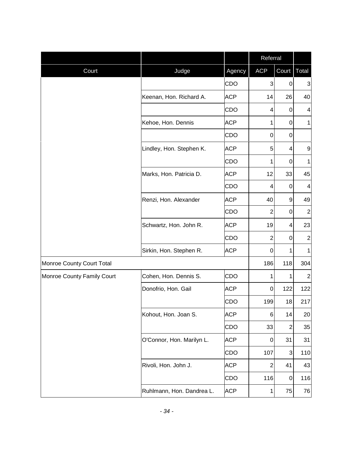|                            |                           |            | Referral       |                |                         |
|----------------------------|---------------------------|------------|----------------|----------------|-------------------------|
| Court                      | Judge                     | Agency     | <b>ACP</b>     | Court   Total  |                         |
|                            |                           | CDO        | 3              | 0              | 3                       |
|                            | Keenan, Hon. Richard A.   | <b>ACP</b> | 14             | 26             | 40                      |
|                            |                           | CDO        | 4              | 0              | $\overline{\mathbf{4}}$ |
|                            | Kehoe, Hon. Dennis        | <b>ACP</b> | 1              | 0              | $\mathbf{1}$            |
|                            |                           | <b>CDO</b> | $\mathbf 0$    | $\mathbf 0$    |                         |
|                            | Lindley, Hon. Stephen K.  | <b>ACP</b> | 5              | $\overline{4}$ | 9                       |
|                            |                           | CDO        | 1              | 0              | 1                       |
|                            | Marks, Hon. Patricia D.   | <b>ACP</b> | 12             | 33             | 45                      |
|                            |                           | CDO        | 4              | 0              | $\overline{\mathbf{4}}$ |
|                            | Renzi, Hon. Alexander     | <b>ACP</b> | 40             | 9              | 49                      |
|                            |                           | <b>CDO</b> | $\overline{2}$ | $\mathbf 0$    | $\overline{c}$          |
|                            | Schwartz, Hon. John R.    | <b>ACP</b> | 19             | $\overline{4}$ | 23                      |
|                            |                           | CDO        | $\overline{2}$ | 0              | $\mathbf 2$             |
|                            | Sirkin, Hon. Stephen R.   | <b>ACP</b> | 0              | $\mathbf{1}$   | $\mathbf{1}$            |
| Monroe County Court Total  |                           |            | 186            | 118            | 304                     |
| Monroe County Family Court | Cohen, Hon. Dennis S.     | CDO        | 1              | 1              | $\mathbf 2$             |
|                            | Donofrio, Hon. Gail       | <b>ACP</b> | 0              | 122            | 122                     |
|                            |                           | CDO        | 199            | 18             | 217                     |
|                            | Kohout, Hon. Joan S.      | <b>ACP</b> | 6              | 14             | 20                      |
|                            |                           | CDO        | 33             | $\overline{2}$ | 35                      |
|                            | O'Connor, Hon. Marilyn L. | <b>ACP</b> | 0              | 31             | 31                      |
|                            |                           | CDO        | 107            | 3              | 110                     |
|                            | Rivoli, Hon. John J.      | <b>ACP</b> | $\overline{2}$ | 41             | 43                      |
|                            |                           | CDO        | 116            | 0              | 116                     |
|                            | Ruhlmann, Hon. Dandrea L. | <b>ACP</b> | $\mathbf 1$    | 75             | 76                      |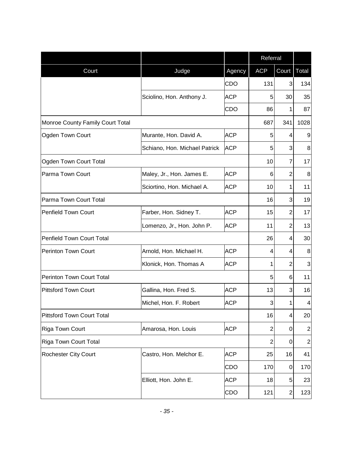|                                   |                               |            | Referral       |                |                  |
|-----------------------------------|-------------------------------|------------|----------------|----------------|------------------|
| Court                             | Judge                         | Agency     | <b>ACP</b>     | Court          | Total            |
|                                   |                               | CDO        | 131            | 3              | 134              |
|                                   | Sciolino, Hon. Anthony J.     | <b>ACP</b> | 5              | 30             | 35               |
|                                   |                               | CDO        | 86             | 1              | 87               |
| Monroe County Family Court Total  |                               |            | 687            | 341            | 1028             |
| Ogden Town Court                  | Murante, Hon. David A.        | <b>ACP</b> | 5              | 4              | 9                |
|                                   | Schiano, Hon. Michael Patrick | <b>ACP</b> | 5              | 3              | 8                |
| Ogden Town Court Total            |                               |            | 10             | 7              | 17               |
| Parma Town Court                  | Maley, Jr., Hon. James E.     | <b>ACP</b> | 6              | $\overline{2}$ | 8                |
|                                   | Sciortino, Hon. Michael A.    | <b>ACP</b> | 10             | 1              | 11               |
| Parma Town Court Total            |                               |            | 16             | 3              | 19               |
| <b>Penfield Town Court</b>        | Farber, Hon. Sidney T.        | <b>ACP</b> | 15             | $\overline{2}$ | 17               |
|                                   | Lomenzo, Jr., Hon. John P.    | <b>ACP</b> | 11             | $\overline{2}$ | 13               |
| <b>Penfield Town Court Total</b>  |                               |            | 26             | 4              | 30               |
| <b>Perinton Town Court</b>        | Arnold, Hon. Michael H.       | <b>ACP</b> | 4              | 4              | 8                |
|                                   | Klonick, Hon. Thomas A        | <b>ACP</b> | 1              | 2              | 3                |
| Perinton Town Court Total         |                               |            | 5              | 6              | 11               |
| <b>Pittsford Town Court</b>       | Gallina, Hon. Fred S.         | <b>ACP</b> | 13             | 3              | 16               |
|                                   | Michel, Hon. F. Robert        | <b>ACP</b> | 3              | 1              | 4                |
| <b>Pittsford Town Court Total</b> |                               |            | 16             | 4              | 20               |
| Riga Town Court                   | Amarosa, Hon. Louis           | <b>ACP</b> | $\overline{2}$ | 0              | $\mathbf 2$      |
| <b>Riga Town Court Total</b>      |                               |            | $\overline{2}$ | 0              | $\boldsymbol{2}$ |
| <b>Rochester City Court</b>       | Castro, Hon. Melchor E.       | <b>ACP</b> | 25             | 16             | 41               |
|                                   |                               | CDO        | 170            | 0              | 170              |
|                                   | Elliott, Hon. John E.         | <b>ACP</b> | 18             | 5              | 23               |
|                                   |                               | CDO        | 121            | $\overline{c}$ | 123              |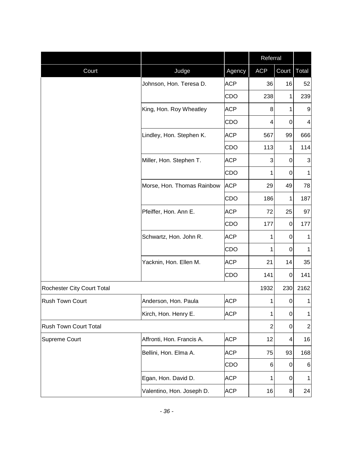|                            |                            |            | Referral       |                |                |
|----------------------------|----------------------------|------------|----------------|----------------|----------------|
| Court                      | Judge                      | Agency     | <b>ACP</b>     | Court          | Total          |
|                            | Johnson, Hon. Teresa D.    | <b>ACP</b> | 36             | 16             | 52             |
|                            |                            | CDO        | 238            | $\mathbf{1}$   | 239            |
|                            | King, Hon. Roy Wheatley    | <b>ACP</b> | 8              | 1              | 9              |
|                            |                            | CDO        | 4              | $\mathbf 0$    | 4              |
|                            | Lindley, Hon. Stephen K.   | <b>ACP</b> | 567            | 99             | 666            |
|                            |                            | CDO        | 113            | 1              | 114            |
|                            | Miller, Hon. Stephen T.    | <b>ACP</b> | 3              | $\mathbf 0$    | 3              |
|                            |                            | CDO        | 1              | $\overline{0}$ | 1              |
|                            | Morse, Hon. Thomas Rainbow | <b>ACP</b> | 29             | 49             | 78             |
|                            |                            | CDO        | 186            | $\mathbf{1}$   | 187            |
|                            | Pfeiffer, Hon. Ann E.      | <b>ACP</b> | 72             | 25             | 97             |
|                            |                            | CDO        | 177            | 0              | 177            |
|                            | Schwartz, Hon. John R.     | <b>ACP</b> | 1              | $\mathbf 0$    | 1              |
|                            |                            | CDO        | 1              | $\overline{0}$ | 1              |
|                            | Yacknin, Hon. Ellen M.     | <b>ACP</b> | 21             | 14             | 35             |
|                            |                            | CDO        | 141            | $\pmb{0}$      | 141            |
| Rochester City Court Total |                            |            | 1932           | 230            | 2162           |
| <b>Rush Town Court</b>     | Anderson, Hon. Paula       | <b>ACP</b> | 1              | 0              | $\mathbf 1$    |
|                            | Kirch, Hon. Henry E.       | <b>ACP</b> | 1              | $\overline{0}$ | $\mathbf{1}$   |
| Rush Town Court Total      |                            |            | $\overline{2}$ | $\pmb{0}$      | $\overline{2}$ |
| Supreme Court              | Affronti, Hon. Francis A.  | <b>ACP</b> | 12             | 4              | 16             |
|                            | Bellini, Hon. Elma A.      | <b>ACP</b> | 75             | 93             | 168            |
|                            |                            | CDO        | 6              | $\mathbf 0$    | 6              |
|                            | Egan, Hon. David D.        | <b>ACP</b> | 1              | $\mathbf 0$    | 1              |
|                            | Valentino, Hon. Joseph D.  | <b>ACP</b> | 16             | 8              | 24             |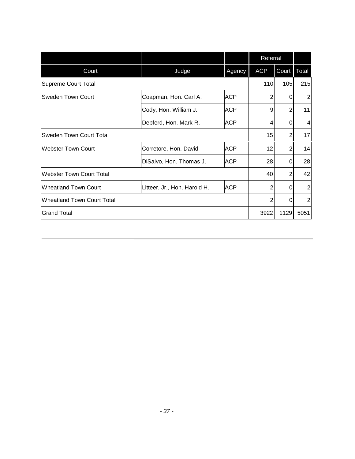|                                   |                              |            | Referral   |                |                |
|-----------------------------------|------------------------------|------------|------------|----------------|----------------|
| Court                             | Judge                        | Agency     | <b>ACP</b> | Court   Total  |                |
| <b>Supreme Court Total</b>        |                              |            | 110        | 105            | 215            |
| Sweden Town Court                 | Coapman, Hon. Carl A.        | <b>ACP</b> | 2          | $\Omega$       | $\overline{2}$ |
|                                   | Cody, Hon. William J.        | <b>ACP</b> | 9          | 2              | 11             |
|                                   | Depferd, Hon. Mark R.        | <b>ACP</b> | 4          | $\Omega$       | 4              |
| <b>Sweden Town Court Total</b>    |                              |            | 15         | 2              | 17             |
| <b>Webster Town Court</b>         | Corretore, Hon. David        | <b>ACP</b> | 12         | $\overline{2}$ | 14             |
|                                   | DiSalvo, Hon. Thomas J.      | <b>ACP</b> | 28         | $\Omega$       | 28             |
| <b>Webster Town Court Total</b>   |                              |            | 40         | $\overline{2}$ | 42             |
| <b>Wheatland Town Court</b>       | Litteer, Jr., Hon. Harold H. | <b>ACP</b> | 2          | $\Omega$       | 2              |
| <b>Wheatland Town Court Total</b> |                              |            | 2          | $\Omega$       | $\overline{2}$ |
| <b>Grand Total</b>                |                              |            | 3922       | 1129           | 5051           |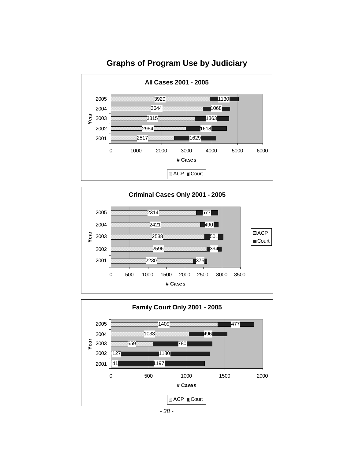

#### <span id="page-39-0"></span>**Graphs of Program Use by Judiciary**



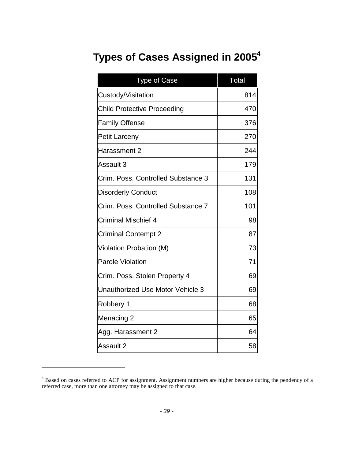# <span id="page-40-0"></span>**Types of Cases Assigned in2005<sup>4</sup>**

| <b>Type of Case</b>                | <b>Total</b> |
|------------------------------------|--------------|
| Custody/Visitation                 | 814          |
| <b>Child Protective Proceeding</b> | 470          |
| <b>Family Offense</b>              | 376          |
| <b>Petit Larceny</b>               | 270          |
| Harassment 2                       | 244          |
| Assault 3                          | 179          |
| Crim. Poss. Controlled Substance 3 | 131          |
| <b>Disorderly Conduct</b>          | 108          |
| Crim. Poss. Controlled Substance 7 | 101          |
| <b>Criminal Mischief 4</b>         | 98           |
| <b>Criminal Contempt 2</b>         | 87           |
| Violation Probation (M)            | 73           |
| <b>Parole Violation</b>            | 71           |
| Crim. Poss. Stolen Property 4      | 69           |
| Unauthorized Use Motor Vehicle 3   | 69           |
| Robbery 1                          | 68           |
| Menacing 2                         | 65           |
| Agg. Harassment 2                  | 64           |
| Assault 2                          | 58           |

<span id="page-40-1"></span><sup>&</sup>lt;sup>4</sup> Based on cases referred to ACP for assignment. Assignment numbers are higher because during the pendency of a referred case, more than one attorney may be assigned to that case.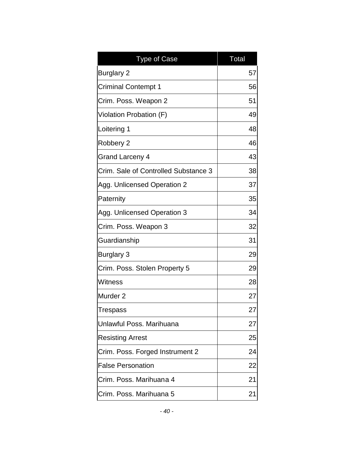| <b>Type of Case</b>                  | <b>Total</b> |
|--------------------------------------|--------------|
| <b>Burglary 2</b>                    | 57           |
| <b>Criminal Contempt 1</b>           | 56           |
| Crim. Poss. Weapon 2                 | 51           |
| Violation Probation (F)              | 49           |
| Loitering 1                          | 48           |
| Robbery 2                            | 46           |
| Grand Larceny 4                      | 43           |
| Crim. Sale of Controlled Substance 3 | 38           |
| Agg. Unlicensed Operation 2          | 37           |
| Paternity                            | 35           |
| Agg. Unlicensed Operation 3          | 34           |
| Crim. Poss. Weapon 3                 | 32           |
| Guardianship                         | 31           |
| <b>Burglary 3</b>                    | 29           |
| Crim. Poss. Stolen Property 5        | 29           |
| Witness                              | 28           |
| Murder <sub>2</sub>                  | 27           |
| <b>Trespass</b>                      | 27           |
| Unlawful Poss, Marihuana             | 27           |
| <b>Resisting Arrest</b>              | 25           |
| Crim. Poss. Forged Instrument 2      | 24           |
| <b>False Personation</b>             | 22           |
| Crim. Poss. Marihuana 4              | 21           |
| Crim. Poss. Marihuana 5              | 21           |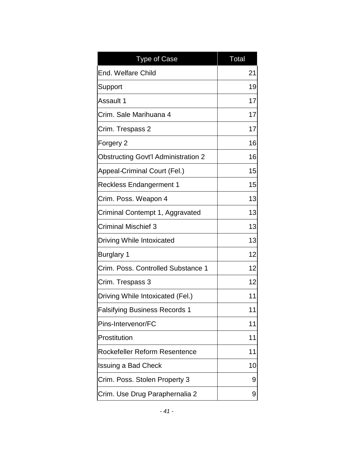| <b>Type of Case</b>                        | <b>Total</b> |
|--------------------------------------------|--------------|
| End. Welfare Child                         | 21           |
| Support                                    | 19           |
| Assault 1                                  | 17           |
| Crim. Sale Marihuana 4                     | 17           |
| Crim. Trespass 2                           | 17           |
| Forgery 2                                  | 16           |
| <b>Obstructing Govt'l Administration 2</b> | 16           |
| Appeal-Criminal Court (Fel.)               | 15           |
| <b>Reckless Endangerment 1</b>             | 15           |
| Crim. Poss. Weapon 4                       | 13           |
| Criminal Contempt 1, Aggravated            | 13           |
| <b>Criminal Mischief 3</b>                 | 13           |
| Driving While Intoxicated                  | 13           |
| <b>Burglary 1</b>                          | 12           |
| Crim. Poss. Controlled Substance 1         | 12           |
| Crim. Trespass 3                           | 12           |
| Driving While Intoxicated (Fel.)           | 11           |
| <b>Falsifying Business Records 1</b>       | 11           |
| Pins-Intervenor/FC                         | 11           |
| Prostitution                               | 11           |
| Rockefeller Reform Resentence              | 11           |
| <b>Issuing a Bad Check</b>                 | 10           |
| Crim. Poss. Stolen Property 3              | 9            |
| Crim. Use Drug Paraphernalia 2             | 9            |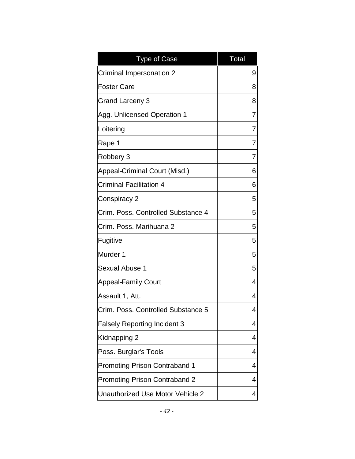| <b>Type of Case</b>                  | <b>Total</b> |
|--------------------------------------|--------------|
| <b>Criminal Impersonation 2</b>      | 9            |
| <b>Foster Care</b>                   | 8            |
| Grand Larceny 3                      | 8            |
| Agg. Unlicensed Operation 1          | 7            |
| Loitering                            | 7            |
| Rape 1                               | 7            |
| Robbery 3                            | 7            |
| Appeal-Criminal Court (Misd.)        | 6            |
| <b>Criminal Facilitation 4</b>       | 6            |
| Conspiracy 2                         | 5            |
| Crim. Poss. Controlled Substance 4   | 5            |
| Crim. Poss. Marihuana 2              | 5            |
| Fugitive                             | 5            |
| Murder 1                             | 5            |
| <b>Sexual Abuse 1</b>                | 5            |
| <b>Appeal-Family Court</b>           | 4            |
| Assault 1, Att.                      | 4            |
| Crim. Poss. Controlled Substance 5   | 4            |
| <b>Falsely Reporting Incident 3</b>  | 4            |
| Kidnapping 2                         | 4            |
| Poss. Burglar's Tools                | 4            |
| <b>Promoting Prison Contraband 1</b> | 4            |
| <b>Promoting Prison Contraband 2</b> | 4            |
| Unauthorized Use Motor Vehicle 2     | 4            |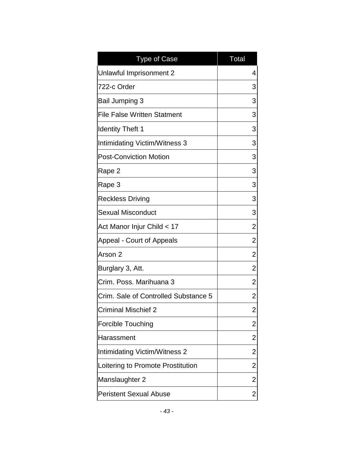| <b>Type of Case</b>                  | <b>Total</b>   |
|--------------------------------------|----------------|
| Unlawful Imprisonment 2              | 4              |
| 722-c Order                          | 3              |
| <b>Bail Jumping 3</b>                | 3              |
| <b>File False Written Statment</b>   | 3              |
| <b>Identity Theft 1</b>              | 3              |
| Intimidating Victim/Witness 3        | 3              |
| <b>Post-Conviction Motion</b>        | 3              |
| Rape 2                               | 3              |
| Rape 3                               | 3              |
| <b>Reckless Driving</b>              | 3              |
| <b>Sexual Misconduct</b>             | 3              |
| Act Manor Injur Child < 17           | $\overline{2}$ |
| Appeal - Court of Appeals            | 2              |
| Arson 2                              | 2              |
| Burglary 3, Att.                     | 2              |
| Crim. Poss. Marihuana 3              | 2              |
| Crim. Sale of Controlled Substance 5 | 2              |
| Criminal Mischief 2                  | $\overline{2}$ |
| <b>Forcible Touching</b>             | 2              |
| Harassment                           | 2              |
| <b>Intimidating Victim/Witness 2</b> | 2              |
| Loitering to Promote Prostitution    | 2              |
| Manslaughter 2                       | 2              |
| <b>Peristent Sexual Abuse</b>        | 2              |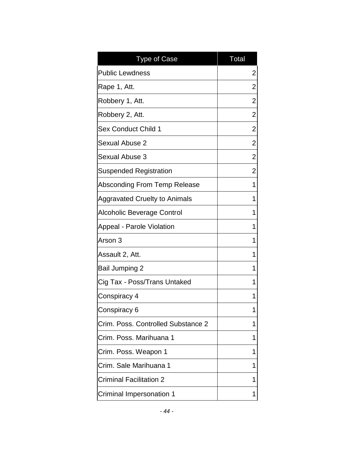| <b>Type of Case</b>                  | Total |
|--------------------------------------|-------|
| <b>Public Lewdness</b>               | 2     |
| Rape 1, Att.                         | 2     |
| Robbery 1, Att.                      | 2     |
| Robbery 2, Att.                      | 2     |
| <b>Sex Conduct Child 1</b>           | 2     |
| <b>Sexual Abuse 2</b>                | 2     |
| <b>Sexual Abuse 3</b>                | 2     |
| <b>Suspended Registration</b>        | 2     |
| Absconding From Temp Release         | 1     |
| <b>Aggravated Cruelty to Animals</b> | 1     |
| Alcoholic Beverage Control           | 1     |
| Appeal - Parole Violation            | 1     |
| Arson 3                              | 1     |
| Assault 2, Att.                      | 1     |
| <b>Bail Jumping 2</b>                | 1     |
| Cig Tax - Poss/Trans Untaked         | 1     |
| Conspiracy 4                         | 1     |
| Conspiracy 6                         | 1     |
| Crim. Poss. Controlled Substance 2   | 1     |
| Crim. Poss. Marihuana 1              | 1     |
| Crim. Poss. Weapon 1                 | 1     |
| Crim. Sale Marihuana 1               | 1     |
| <b>Criminal Facilitation 2</b>       | 1     |
| Criminal Impersonation 1             | 1     |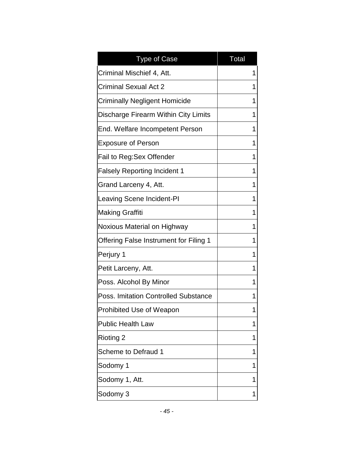| <b>Type of Case</b>                           | <b>Total</b> |
|-----------------------------------------------|--------------|
| Criminal Mischief 4, Att.                     | 1            |
| <b>Criminal Sexual Act 2</b>                  | 1            |
| <b>Criminally Negligent Homicide</b>          | 1            |
| Discharge Firearm Within City Limits          | 1            |
| End. Welfare Incompetent Person               | 1            |
| <b>Exposure of Person</b>                     | 1            |
| Fail to Reg:Sex Offender                      | 1            |
| <b>Falsely Reporting Incident 1</b>           | 1            |
| Grand Larceny 4, Att.                         | 1            |
| Leaving Scene Incident-PI                     | 1            |
| <b>Making Graffiti</b>                        | 1            |
| Noxious Material on Highway                   | 1            |
| <b>Offering False Instrument for Filing 1</b> | 1            |
| Perjury 1                                     | 1            |
| Petit Larceny, Att.                           | 1            |
| Poss. Alcohol By Minor                        | 1            |
| <b>Poss. Imitation Controlled Substance</b>   | 1            |
| Prohibited Use of Weapon                      | 1            |
| <b>Public Health Law</b>                      | 1            |
| <b>Rioting 2</b>                              | 1            |
| <b>Scheme to Defraud 1</b>                    | 1            |
| Sodomy 1                                      | 1            |
| Sodomy 1, Att.                                | 1            |
| Sodomy 3                                      | 1            |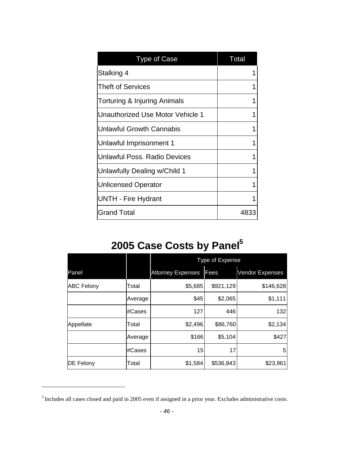| <b>Type of Case</b>                     | <b>Total</b> |
|-----------------------------------------|--------------|
| Stalking 4                              |              |
| Theft of Services                       |              |
| <b>Torturing &amp; Injuring Animals</b> |              |
| Unauthorized Use Motor Vehicle 1        |              |
| <b>Unlawful Growth Cannabis</b>         |              |
| Unlawful Imprisonment 1                 |              |
| Unlawful Poss, Radio Devices            |              |
| Unlawfully Dealing w/Child 1            |              |
| <b>Unlicensed Operator</b>              |              |
| UNTH - Fire Hydrant                     |              |
| <b>Grand Total</b>                      | 4833         |

# <span id="page-47-0"></span>**2005 Case Costs by Panel[5](#page-47-1)**

|                   |         | Type of Expense          |           |                 |  |  |
|-------------------|---------|--------------------------|-----------|-----------------|--|--|
| Panel             |         | <b>Attorney Expenses</b> | Fees      | Vendor Expenses |  |  |
| <b>ABC Felony</b> | Total   | \$5,685                  | \$921,129 | \$146,628       |  |  |
|                   | Average | \$45                     | \$2,065   | \$1,111         |  |  |
|                   | #Cases  | 127                      | 446       | 132             |  |  |
| Appellate         | Total   | \$2,496                  | \$86,760  | \$2,134         |  |  |
|                   | Average | \$166                    | \$5,104   | \$427           |  |  |
|                   | #Cases  | 15                       | 17        | 5               |  |  |
| <b>DE Felony</b>  | Total   | \$1,584                  | \$536,843 | \$23,961        |  |  |

<span id="page-47-1"></span><sup>&</sup>lt;sup>5</sup> Includes all cases closed and paid in 2005 even if assigned in a prior year. Excludes administrative costs.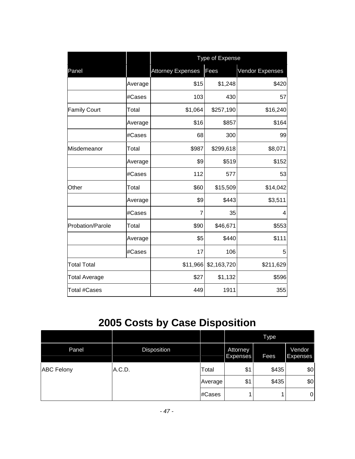|                      |         | Type of Expense          |             |                 |  |
|----------------------|---------|--------------------------|-------------|-----------------|--|
| Panel                |         | <b>Attorney Expenses</b> | Fees        | Vendor Expenses |  |
|                      | Average | \$15                     | \$1,248     | \$420           |  |
|                      | #Cases  | 103                      | 430         | 57              |  |
| <b>Family Court</b>  | Total   | \$1,064                  | \$257,190   | \$16,240        |  |
|                      | Average | \$16                     | \$857       | \$164           |  |
|                      | #Cases  | 68                       | 300         | 99              |  |
| Misdemeanor          | Total   | \$987                    | \$299,618   | \$8,071         |  |
|                      | Average | \$9                      | \$519       | \$152           |  |
|                      | #Cases  | 112                      | 577         | 53              |  |
| Other                | Total   | \$60                     | \$15,509    | \$14,042        |  |
|                      | Average | \$9                      | \$443       | \$3,511         |  |
|                      | #Cases  | 7                        | 35          | 4               |  |
| Probation/Parole     | Total   | \$90                     | \$46,671    | \$553           |  |
|                      | Average | \$5                      | \$440       | \$111           |  |
|                      | #Cases  | 17                       | 106         | 5               |  |
| <b>Total Total</b>   |         | \$11,966                 | \$2,163,720 | \$211,629       |  |
| <b>Total Average</b> |         | \$27                     | \$1,132     | \$596           |  |
| <b>Total #Cases</b>  |         | 449                      | 1911        | 355             |  |

# <span id="page-48-0"></span>**2005 Costs by Case Disposition**

|                   |             |         |                                    | Type        |                    |
|-------------------|-------------|---------|------------------------------------|-------------|--------------------|
| Panel             | Disposition |         | <b>Attorney</b><br><b>Expenses</b> | <b>Fees</b> | Vendor<br>Expenses |
| <b>ABC Felony</b> | A.C.D.      | Total   | \$1                                | \$435       | \$0                |
|                   |             | Average | \$1                                | \$435       | \$0                |
|                   |             | #Cases  |                                    |             | $\overline{0}$     |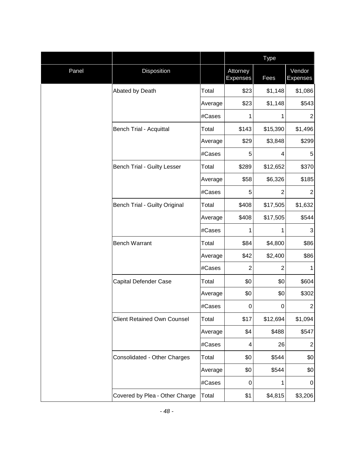|       |                                      |         |                             | <b>Type</b>    |                           |  |
|-------|--------------------------------------|---------|-----------------------------|----------------|---------------------------|--|
| Panel | Disposition                          |         | Attorney<br><b>Expenses</b> | Fees           | Vendor<br><b>Expenses</b> |  |
|       | Abated by Death                      | Total   | \$23                        | \$1,148        | \$1,086                   |  |
|       |                                      | Average | \$23                        | \$1,148        | \$543                     |  |
|       |                                      | #Cases  | 1                           | 1              | $\overline{2}$            |  |
|       | <b>Bench Trial - Acquittal</b>       | Total   | \$143                       | \$15,390       | \$1,496                   |  |
|       |                                      | Average | \$29                        | \$3,848        | \$299                     |  |
|       |                                      | #Cases  | 5                           | 4              | 5                         |  |
|       | <b>Bench Trial - Guilty Lesser</b>   | Total   | \$289                       | \$12,652       | \$370                     |  |
|       |                                      | Average | \$58                        | \$6,326        | \$185                     |  |
|       |                                      | #Cases  | 5                           | $\overline{2}$ | $\overline{2}$            |  |
|       | <b>Bench Trial - Guilty Original</b> | Total   | \$408                       | \$17,505       | \$1,632                   |  |
|       |                                      | Average | \$408                       | \$17,505       | \$544                     |  |
|       |                                      | #Cases  | 1                           | 1              | 3                         |  |
|       | <b>Bench Warrant</b>                 | Total   | \$84                        | \$4,800        | \$86                      |  |
|       |                                      | Average | \$42                        | \$2,400        | \$86                      |  |
|       |                                      | #Cases  | $\overline{2}$              | 2              | 1                         |  |
|       | Capital Defender Case                | Total   | \$0                         | \$0            | \$604                     |  |
|       |                                      | Average | \$0                         | \$0            | \$302                     |  |
|       |                                      | #Cases  | 0                           | $\pmb{0}$      | $\overline{c}$            |  |
|       | <b>Client Retained Own Counsel</b>   | Total   | \$17                        | \$12,694       | \$1,094                   |  |
|       |                                      | Average | \$4                         | \$488          | \$547                     |  |
|       |                                      | #Cases  | 4                           | 26             | $\overline{c}$            |  |
|       | Consolidated - Other Charges         | Total   | \$0                         | \$544          | \$0                       |  |
|       |                                      | Average | \$0                         | \$544          | \$0                       |  |
|       |                                      | #Cases  | 0                           | 1              | 0                         |  |
|       | Covered by Plea - Other Charge       | Total   | \$1                         | \$4,815        | \$3,206                   |  |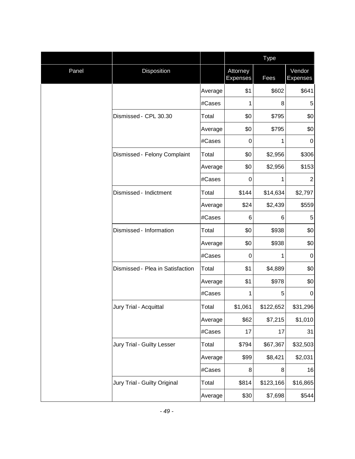|       |                                  |         |                             | Type      |                           |  |  |
|-------|----------------------------------|---------|-----------------------------|-----------|---------------------------|--|--|
| Panel | Disposition                      |         | Attorney<br><b>Expenses</b> | Fees      | Vendor<br><b>Expenses</b> |  |  |
|       |                                  | Average | \$1                         | \$602     | \$641                     |  |  |
|       |                                  | #Cases  | 1                           | 8         | 5                         |  |  |
|       | Dismissed - CPL 30.30            | Total   | \$0                         | \$795     | \$0                       |  |  |
|       |                                  | Average | \$0                         | \$795     | \$0                       |  |  |
|       |                                  | #Cases  | 0                           | 1         | 0                         |  |  |
|       | Dismissed - Felony Complaint     | Total   | \$0                         | \$2,956   | \$306                     |  |  |
|       |                                  | Average | \$0                         | \$2,956   | \$153                     |  |  |
|       |                                  | #Cases  | 0                           | 1         | $\overline{2}$            |  |  |
|       | Dismissed - Indictment           | Total   | \$144                       | \$14,634  | \$2,797                   |  |  |
|       |                                  | Average | \$24                        | \$2,439   | \$559                     |  |  |
|       |                                  | #Cases  | 6                           | 6         | 5                         |  |  |
|       | Dismissed - Information          | Total   | \$0                         | \$938     | \$0                       |  |  |
|       |                                  | Average | \$0                         | \$938     | \$0                       |  |  |
|       |                                  | #Cases  | 0                           | 1         | $\mathbf 0$               |  |  |
|       | Dismissed - Plea in Satisfaction | Total   | \$1                         | \$4,889   | \$0                       |  |  |
|       |                                  | Average | \$1                         | \$978     | \$0                       |  |  |
|       |                                  | #Cases  | 1                           | 5         | $\boldsymbol{0}$          |  |  |
|       | Jury Trial - Acquittal           | Total   | \$1,061                     | \$122,652 | \$31,296                  |  |  |
|       |                                  | Average | \$62                        | \$7,215   | \$1,010                   |  |  |
|       |                                  | #Cases  | 17                          | 17        | 31                        |  |  |
|       | Jury Trial - Guilty Lesser       | Total   | \$794                       | \$67,367  | \$32,503                  |  |  |
|       |                                  | Average | \$99                        | \$8,421   | \$2,031                   |  |  |
|       |                                  | #Cases  | 8                           | 8         | 16                        |  |  |
|       | Jury Trial - Guilty Original     | Total   | \$814                       | \$123,166 | \$16,865                  |  |  |
|       |                                  | Average | \$30                        | \$7,698   | \$544                     |  |  |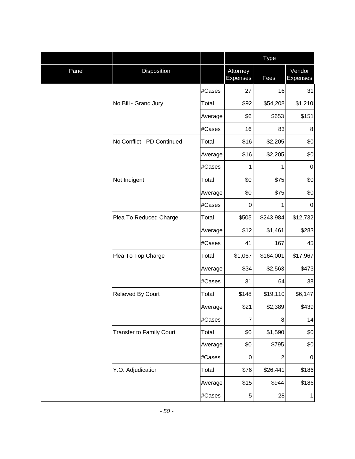|       |                                 |         |                             | <b>Type</b>      |                           |  |
|-------|---------------------------------|---------|-----------------------------|------------------|---------------------------|--|
| Panel | Disposition                     |         | Attorney<br><b>Expenses</b> | Fees             | Vendor<br><b>Expenses</b> |  |
|       |                                 | #Cases  | 27                          | 16               | 31                        |  |
|       | No Bill - Grand Jury            | Total   | \$92                        | \$54,208         | \$1,210                   |  |
|       |                                 | Average | \$6                         | \$653            | \$151                     |  |
|       |                                 | #Cases  | 16                          | 83               | 8                         |  |
|       | No Conflict - PD Continued      | Total   | \$16                        | \$2,205          | \$0                       |  |
|       |                                 | Average | \$16                        | \$2,205          | \$0                       |  |
|       |                                 | #Cases  | 1                           | 1                | $\pmb{0}$                 |  |
|       | Not Indigent                    | Total   | \$0                         | \$75             | \$0                       |  |
|       |                                 | Average | \$0                         | \$75             | \$0                       |  |
|       |                                 | #Cases  | $\boldsymbol{0}$            | 1                | $\boldsymbol{0}$          |  |
|       | Plea To Reduced Charge          | Total   | \$505                       | \$243,984        | \$12,732                  |  |
|       |                                 | Average | \$12                        | \$1,461          | \$283                     |  |
|       |                                 | #Cases  | 41                          | 167              | 45                        |  |
|       | Plea To Top Charge              | Total   | \$1,067                     | \$164,001        | \$17,967                  |  |
|       |                                 | Average | \$34                        | \$2,563          | \$473                     |  |
|       |                                 | #Cases  | 31                          | 64               | 38                        |  |
|       | Relieved By Court               | Total   | \$148                       | \$19,110         | \$6,147                   |  |
|       |                                 | Average | \$21                        | \$2,389          | \$439                     |  |
|       |                                 | #Cases  | $\overline{7}$              | 8                | 14                        |  |
|       | <b>Transfer to Family Court</b> | Total   | \$0                         | \$1,590          | \$0                       |  |
|       |                                 | Average | \$0                         | \$795            | \$0                       |  |
|       |                                 | #Cases  | $\boldsymbol{0}$            | $\boldsymbol{2}$ | $\mathbf 0$               |  |
|       | Y.O. Adjudication               | Total   | \$76                        | \$26,441         | \$186                     |  |
|       |                                 | Average | \$15                        | \$944            | \$186                     |  |
|       |                                 | #Cases  | $\mathbf 5$                 | 28               | 1                         |  |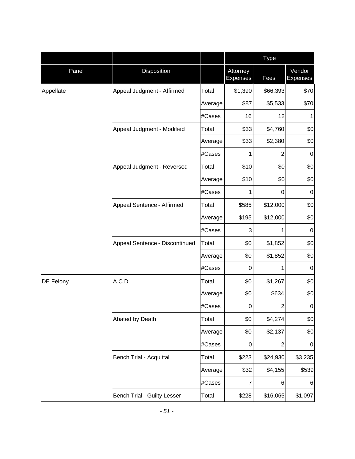|                  |                                    |         |                             | Type             |                           |  |
|------------------|------------------------------------|---------|-----------------------------|------------------|---------------------------|--|
| Panel            | Disposition                        |         | Attorney<br><b>Expenses</b> | Fees             | Vendor<br><b>Expenses</b> |  |
| Appellate        | Appeal Judgment - Affirmed         | Total   | \$1,390                     | \$66,393         | \$70                      |  |
|                  |                                    | Average | \$87                        | \$5,533          | \$70                      |  |
|                  |                                    | #Cases  | 16                          | 12               | 1                         |  |
|                  | Appeal Judgment - Modified         | Total   | \$33                        | \$4,760          | \$0                       |  |
|                  |                                    | Average | \$33                        | \$2,380          | \$0                       |  |
|                  |                                    | #Cases  | 1                           | $\overline{2}$   | $\pmb{0}$                 |  |
|                  | Appeal Judgment - Reversed         | Total   | \$10                        | \$0              | \$0                       |  |
|                  |                                    | Average | \$10                        | \$0              | \$0                       |  |
|                  |                                    | #Cases  | 1                           | 0                | $\pmb{0}$                 |  |
|                  | Appeal Sentence - Affirmed         | Total   | \$585                       | \$12,000         | \$0                       |  |
|                  |                                    | Average | \$195                       | \$12,000         | \$0                       |  |
|                  |                                    | #Cases  | 3                           | 1                | $\pmb{0}$                 |  |
|                  | Appeal Sentence - Discontinued     | Total   | \$0                         | \$1,852          | \$0                       |  |
|                  |                                    | Average | \$0                         | \$1,852          | \$0                       |  |
|                  |                                    | #Cases  | 0                           | 1                | $\pmb{0}$                 |  |
| <b>DE Felony</b> | A.C.D.                             | Total   | \$0                         | \$1,267          | \$0                       |  |
|                  |                                    | Average | \$0                         | \$634            | \$0                       |  |
|                  |                                    | #Cases  | 0                           | $\overline{c}$   | $\pmb{0}$                 |  |
|                  | Abated by Death                    | Total   | \$0                         | \$4,274          | \$0                       |  |
|                  |                                    | Average | \$0                         | \$2,137          | \$0                       |  |
|                  |                                    | #Cases  | 0                           | $\boldsymbol{2}$ | $\pmb{0}$                 |  |
|                  | <b>Bench Trial - Acquittal</b>     | Total   | \$223                       | \$24,930         | \$3,235                   |  |
|                  |                                    | Average | \$32                        | \$4,155          | \$539                     |  |
|                  |                                    | #Cases  | $\overline{7}$              | 6                | 6                         |  |
|                  | <b>Bench Trial - Guilty Lesser</b> | Total   | \$228                       | \$16,065         | \$1,097                   |  |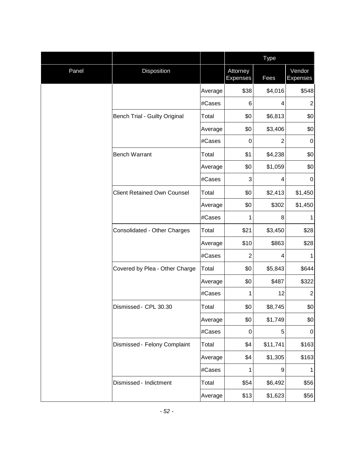|       |                                      |         |                             | <b>Type</b>    |                           |  |
|-------|--------------------------------------|---------|-----------------------------|----------------|---------------------------|--|
| Panel | Disposition                          |         | Attorney<br><b>Expenses</b> | Fees           | Vendor<br><b>Expenses</b> |  |
|       |                                      | Average | \$38                        | \$4,016        | \$548                     |  |
|       |                                      | #Cases  | 6                           | 4              | $\overline{2}$            |  |
|       | <b>Bench Trial - Guilty Original</b> | Total   | \$0                         | \$6,813        | \$0                       |  |
|       |                                      | Average | \$0                         | \$3,406        | \$0                       |  |
|       |                                      | #Cases  | 0                           | $\overline{2}$ | $\mathbf 0$               |  |
|       | <b>Bench Warrant</b>                 | Total   | \$1                         | \$4,238        | \$0                       |  |
|       |                                      | Average | \$0                         | \$1,059        | \$0                       |  |
|       |                                      | #Cases  | 3                           | 4              | $\mathbf 0$               |  |
|       | <b>Client Retained Own Counsel</b>   | Total   | \$0                         | \$2,413        | \$1,450                   |  |
|       |                                      | Average | \$0                         | \$302          | \$1,450                   |  |
|       |                                      | #Cases  | 1                           | 8              | 1                         |  |
|       | Consolidated - Other Charges         | Total   | \$21                        | \$3,450        | \$28                      |  |
|       |                                      | Average | \$10                        | \$863          | \$28                      |  |
|       |                                      | #Cases  | $\overline{2}$              | 4              | 1                         |  |
|       | Covered by Plea - Other Charge       | Total   | \$0                         | \$5,843        | \$644                     |  |
|       |                                      | Average | \$0                         | \$487          | \$322                     |  |
|       |                                      | #Cases  | 1                           | 12             | $\overline{2}$            |  |
|       | Dismissed - CPL 30.30                | Total   | \$0                         | \$8,745        | \$0                       |  |
|       |                                      | Average | \$0                         | \$1,749        | \$0                       |  |
|       |                                      | #Cases  | 0                           | 5              | $\pmb{0}$                 |  |
|       | Dismissed - Felony Complaint         | Total   | \$4                         | \$11,741       | \$163                     |  |
|       |                                      | Average | \$4                         | \$1,305        | \$163                     |  |
|       |                                      | #Cases  | 1                           | 9              | 1                         |  |
|       | Dismissed - Indictment               | Total   | \$54                        | \$6,492        | \$56                      |  |
|       |                                      | Average | \$13                        | \$1,623        | \$56                      |  |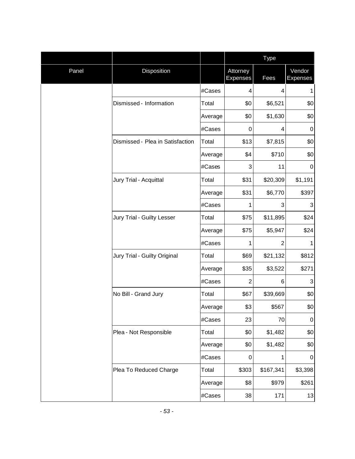|       |                                  |         |                             | <b>Type</b>     |                           |  |
|-------|----------------------------------|---------|-----------------------------|-----------------|---------------------------|--|
| Panel | Disposition                      |         | Attorney<br><b>Expenses</b> | Fees            | Vendor<br><b>Expenses</b> |  |
|       |                                  | #Cases  | 4                           | $\overline{4}$  | 1                         |  |
|       | Dismissed - Information          | Total   | \$0                         | \$6,521         | \$0                       |  |
|       |                                  | Average | \$0                         | \$1,630         | \$0                       |  |
|       |                                  | #Cases  | 0                           | 4               | $\pmb{0}$                 |  |
|       | Dismissed - Plea in Satisfaction | Total   | \$13                        | \$7,815         | \$0                       |  |
|       |                                  | Average | \$4                         | \$710           | \$0                       |  |
|       |                                  | #Cases  | 3                           | 11              | $\mathbf 0$               |  |
|       | Jury Trial - Acquittal           | Total   | \$31                        | \$20,309        | \$1,191                   |  |
|       |                                  | Average | \$31                        | \$6,770         | \$397                     |  |
|       |                                  | #Cases  | 1                           | 3               | 3                         |  |
|       | Jury Trial - Guilty Lesser       | Total   | \$75                        | \$11,895        | \$24                      |  |
|       |                                  | Average | \$75                        | \$5,947         | \$24                      |  |
|       |                                  | #Cases  | 1                           | $\overline{2}$  | 1                         |  |
|       | Jury Trial - Guilty Original     | Total   | \$69                        | \$21,132        | \$812                     |  |
|       |                                  | Average | \$35                        | \$3,522         | \$271                     |  |
|       |                                  | #Cases  | $\overline{c}$              | $6\phantom{1}6$ | 3                         |  |
|       | No Bill - Grand Jury             | Total   | \$67                        | \$39,669        | \$0                       |  |
|       |                                  | Average | \$3                         | \$567           | \$0                       |  |
|       |                                  | #Cases  | 23                          | 70              | $\boldsymbol{0}$          |  |
|       | Plea - Not Responsible           | Total   | \$0                         | \$1,482         | \$0                       |  |
|       |                                  | Average | \$0                         | \$1,482         | \$0                       |  |
|       |                                  | #Cases  | 0                           | 1               | $\mathbf 0$               |  |
|       | Plea To Reduced Charge           | Total   | \$303                       | \$167,341       | \$3,398                   |  |
|       |                                  | Average | \$8                         | \$979           | \$261                     |  |
|       |                                  | #Cases  | 38                          | 171             | 13                        |  |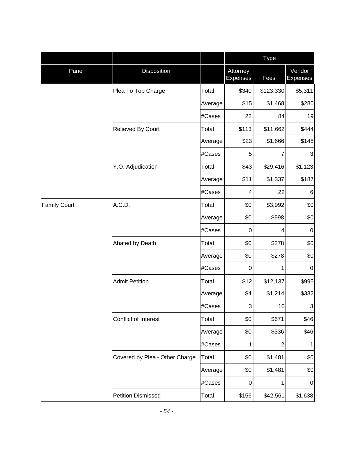|                     |                                |         |                             | Type           |                           |
|---------------------|--------------------------------|---------|-----------------------------|----------------|---------------------------|
| Panel               | Disposition                    |         | Attorney<br><b>Expenses</b> | Fees           | Vendor<br><b>Expenses</b> |
|                     | Plea To Top Charge             | Total   | \$340                       | \$123,330      | \$5,311                   |
|                     |                                | Average | \$15                        | \$1,468        | \$280                     |
|                     |                                | #Cases  | 22                          | 84             | 19                        |
|                     | Relieved By Court              | Total   | \$113                       | \$11,662       | \$444                     |
|                     |                                | Average | \$23                        | \$1,666        | \$148                     |
|                     |                                | #Cases  | 5                           | 7              | 3                         |
|                     | Y.O. Adjudication              | Total   | \$43                        | \$29,416       | \$1,123                   |
|                     |                                | Average | \$11                        | \$1,337        | \$187                     |
|                     |                                | #Cases  | 4                           | 22             | 6                         |
| <b>Family Court</b> | A.C.D.                         | Total   | \$0                         | \$3,992        | \$0                       |
|                     |                                | Average | \$0                         | \$998          | \$0                       |
|                     |                                | #Cases  | 0                           | 4              | $\pmb{0}$                 |
|                     | Abated by Death                | Total   | \$0                         | \$278          | \$0                       |
|                     |                                | Average | \$0                         | \$278          | \$0                       |
|                     |                                | #Cases  | 0                           | 1              | $\mathbf 0$               |
|                     | <b>Admit Petition</b>          | Total   | \$12                        | \$12,137       | \$995                     |
|                     |                                | Average | \$4                         | \$1,214        | \$332                     |
|                     |                                | #Cases  | 3                           | 10             | 3                         |
|                     | Conflict of Interest           | Total   | \$0                         | \$671          | \$46                      |
|                     |                                | Average | \$0                         | \$336          | \$46                      |
|                     |                                | #Cases  | 1                           | $\overline{c}$ | 1                         |
|                     | Covered by Plea - Other Charge | Total   | \$0                         | \$1,481        | \$0                       |
|                     |                                | Average | \$0                         | \$1,481        | \$0                       |
|                     |                                | #Cases  | 0                           | 1              | $\pmb{0}$                 |
|                     | <b>Petition Dismissed</b>      | Total   | \$156                       | \$42,561       | \$1,638                   |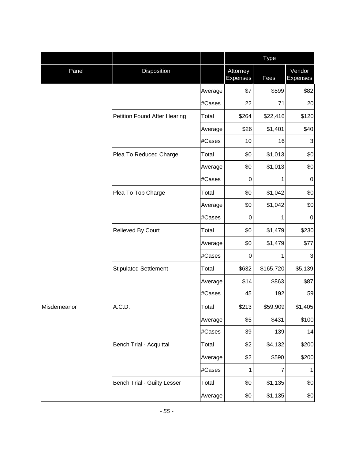|             |                                    |         |                             | Type      |                           |
|-------------|------------------------------------|---------|-----------------------------|-----------|---------------------------|
| Panel       | Disposition                        |         | Attorney<br><b>Expenses</b> | Fees      | Vendor<br><b>Expenses</b> |
|             |                                    | Average | \$7                         | \$599     | \$82                      |
|             |                                    | #Cases  | 22                          | 71        | 20                        |
|             | Petition Found After Hearing       | Total   | \$264                       | \$22,416  | \$120                     |
|             |                                    | Average | \$26                        | \$1,401   | \$40                      |
|             |                                    | #Cases  | 10                          | 16        | 3                         |
|             | Plea To Reduced Charge             | Total   | \$0                         | \$1,013   | \$0                       |
|             |                                    | Average | \$0                         | \$1,013   | \$0                       |
|             |                                    | #Cases  | 0                           | 1         | $\mathbf 0$               |
|             | Plea To Top Charge                 | Total   | \$0                         | \$1,042   | \$0                       |
|             |                                    | Average | \$0                         | \$1,042   | \$0                       |
|             |                                    | #Cases  | 0                           | 1         | $\mathbf 0$               |
|             | Relieved By Court                  | Total   | \$0                         | \$1,479   | \$230                     |
|             |                                    | Average | \$0                         | \$1,479   | \$77                      |
|             |                                    | #Cases  | 0                           | 1         | 3                         |
|             | <b>Stipulated Settlement</b>       | Total   | \$632                       | \$165,720 | \$5,139                   |
|             |                                    | Average | \$14                        | \$863     | \$87                      |
|             |                                    | #Cases  | 45                          | 192       | 59                        |
| Misdemeanor | A.C.D.                             | Total   | \$213                       | \$59,909  | \$1,405                   |
|             |                                    | Average | \$5                         | \$431     | \$100                     |
|             |                                    | #Cases  | 39                          | 139       | 14                        |
|             | <b>Bench Trial - Acquittal</b>     | Total   | \$2                         | \$4,132   | \$200                     |
|             |                                    | Average | \$2                         | \$590     | \$200                     |
|             |                                    | #Cases  | 1                           | 7         | 1                         |
|             | <b>Bench Trial - Guilty Lesser</b> | Total   | \$0                         | \$1,135   | \$0                       |
|             |                                    | Average | \$0                         | \$1,135   | \$0                       |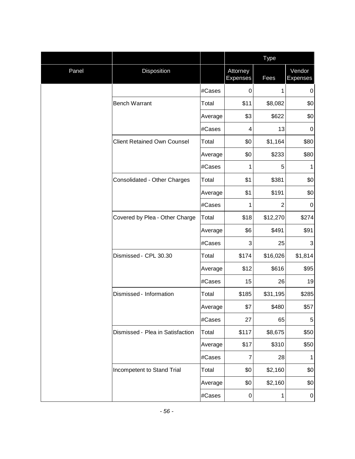|       |                                    |         |                             | <b>Type</b>    |                           |
|-------|------------------------------------|---------|-----------------------------|----------------|---------------------------|
| Panel | Disposition                        |         | Attorney<br><b>Expenses</b> | Fees           | Vendor<br><b>Expenses</b> |
|       |                                    | #Cases  | $\pmb{0}$                   | 1              | 0                         |
|       | <b>Bench Warrant</b>               | Total   | \$11                        | \$8,082        | \$0                       |
|       |                                    | Average | \$3                         | \$622          | \$0                       |
|       |                                    | #Cases  | 4                           | 13             | $\pmb{0}$                 |
|       | <b>Client Retained Own Counsel</b> | Total   | \$0                         | \$1,164        | \$80                      |
|       |                                    | Average | \$0                         | \$233          | \$80                      |
|       |                                    | #Cases  | 1                           | 5              | 1                         |
|       | Consolidated - Other Charges       | Total   | \$1                         | \$381          | \$0                       |
|       |                                    | Average | \$1                         | \$191          | \$0                       |
|       |                                    | #Cases  | 1                           | $\overline{2}$ | $\mathbf 0$               |
|       | Covered by Plea - Other Charge     | Total   | \$18                        | \$12,270       | \$274                     |
|       |                                    | Average | \$6                         | \$491          | \$91                      |
|       |                                    | #Cases  | 3                           | 25             | 3                         |
|       | Dismissed - CPL 30.30              | Total   | \$174                       | \$16,026       | \$1,814                   |
|       |                                    | Average | \$12                        | \$616          | \$95                      |
|       |                                    | #Cases  | 15                          | 26             | 19                        |
|       | Dismissed - Information            | Total   | \$185                       | \$31,195       | \$285                     |
|       |                                    | Average | \$7                         | \$480          | \$57                      |
|       |                                    | #Cases  | 27                          | 65             | 5                         |
|       | Dismissed - Plea in Satisfaction   | Total   | \$117                       | \$8,675        | \$50                      |
|       |                                    | Average | \$17                        | \$310          | \$50                      |
|       |                                    | #Cases  | 7                           | 28             | 1                         |
|       | Incompetent to Stand Trial         | Total   | \$0                         | \$2,160        | \$0                       |
|       |                                    | Average | \$0                         | \$2,160        | \$0                       |
|       |                                    | #Cases  | 0                           | 1              | $\pmb{0}$                 |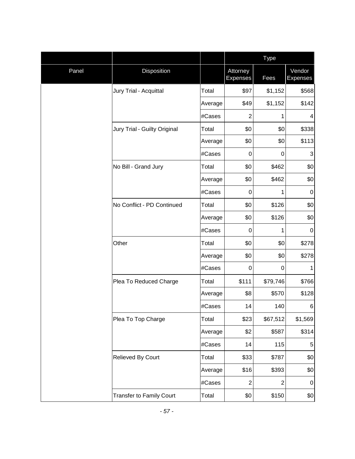|       |                                 |         |                             | <b>Type</b>    |                           |
|-------|---------------------------------|---------|-----------------------------|----------------|---------------------------|
| Panel | Disposition                     |         | Attorney<br><b>Expenses</b> | Fees           | Vendor<br><b>Expenses</b> |
|       | Jury Trial - Acquittal          | Total   | \$97                        | \$1,152        | \$568                     |
|       |                                 | Average | \$49                        | \$1,152        | \$142                     |
|       |                                 | #Cases  | $\overline{2}$              | 1              | 4                         |
|       | Jury Trial - Guilty Original    | Total   | \$0                         | \$0            | \$338                     |
|       |                                 | Average | \$0                         | \$0            | \$113                     |
|       |                                 | #Cases  | 0                           | $\pmb{0}$      | $\ensuremath{\mathsf{3}}$ |
|       | No Bill - Grand Jury            | Total   | \$0                         | \$462          | \$0                       |
|       |                                 | Average | \$0                         | \$462          | \$0                       |
|       |                                 | #Cases  | 0                           | 1              | $\mathbf 0$               |
|       | No Conflict - PD Continued      | Total   | \$0                         | \$126          | \$0                       |
|       |                                 | Average | \$0                         | \$126          | \$0                       |
|       |                                 | #Cases  | 0                           | 1              | $\mathbf 0$               |
|       | Other                           | Total   | \$0                         | \$0            | \$278                     |
|       |                                 | Average | \$0                         | \$0            | \$278                     |
|       |                                 | #Cases  | 0                           | 0              | 1                         |
|       | Plea To Reduced Charge          | Total   | \$111                       | \$79,746       | \$766                     |
|       |                                 | Average | \$8                         | \$570          | \$128                     |
|       |                                 | #Cases  | 14                          | 140            | 6                         |
|       | Plea To Top Charge              | Total   | \$23                        | \$67,512       | \$1,569                   |
|       |                                 | Average | \$2                         | \$587          | \$314                     |
|       |                                 | #Cases  | 14                          | 115            | $\,$ 5 $\,$               |
|       | Relieved By Court               | Total   | \$33                        | \$787          | \$0                       |
|       |                                 | Average | \$16                        | \$393          | \$0                       |
|       |                                 | #Cases  | $\overline{c}$              | $\overline{c}$ | $\pmb{0}$                 |
|       | <b>Transfer to Family Court</b> | Total   | \$0                         | \$150          | \$0                       |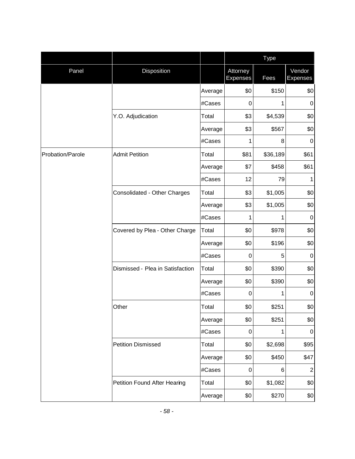|                  |                                  |         |                             | Type     |                           |
|------------------|----------------------------------|---------|-----------------------------|----------|---------------------------|
| Panel            | Disposition                      |         | Attorney<br><b>Expenses</b> | Fees     | Vendor<br><b>Expenses</b> |
|                  |                                  | Average | \$0                         | \$150    | \$0                       |
|                  |                                  | #Cases  | 0                           | 1        | $\mathbf 0$               |
|                  | Y.O. Adjudication                | Total   | \$3                         | \$4,539  | \$0                       |
|                  |                                  | Average | \$3                         | \$567    | \$0                       |
|                  |                                  | #Cases  | 1                           | 8        | $\boldsymbol{0}$          |
| Probation/Parole | <b>Admit Petition</b>            | Total   | \$81                        | \$36,189 | \$61                      |
|                  |                                  | Average | \$7                         | \$458    | \$61                      |
|                  |                                  | #Cases  | 12                          | 79       | 1                         |
|                  | Consolidated - Other Charges     | Total   | \$3                         | \$1,005  | \$0                       |
|                  |                                  | Average | \$3                         | \$1,005  | \$0                       |
|                  |                                  | #Cases  | 1                           | 1        | $\boldsymbol{0}$          |
|                  | Covered by Plea - Other Charge   | Total   | \$0                         | \$978    | \$0                       |
|                  |                                  | Average | \$0                         | \$196    | \$0                       |
|                  |                                  | #Cases  | 0                           | 5        | $\boldsymbol{0}$          |
|                  | Dismissed - Plea in Satisfaction | Total   | \$0                         | \$390    | \$0                       |
|                  |                                  | Average | \$0                         | \$390    | \$0                       |
|                  |                                  | #Cases  | $\pmb{0}$                   | 1        | $\pmb{0}$                 |
|                  | Other                            | Total   | \$0                         | \$251    | \$0                       |
|                  |                                  | Average | \$0                         | \$251    | \$0                       |
|                  |                                  | #Cases  | $\pmb{0}$                   | 1        | $\pmb{0}$                 |
|                  | <b>Petition Dismissed</b>        | Total   | \$0                         | \$2,698  | \$95                      |
|                  |                                  | Average | \$0                         | \$450    | \$47                      |
|                  |                                  | #Cases  | $\mathbf 0$                 | 6        | $\overline{2}$            |
|                  | Petition Found After Hearing     | Total   | \$0                         | \$1,082  | \$0                       |
|                  |                                  | Average | \$0                         | \$270    | \$0                       |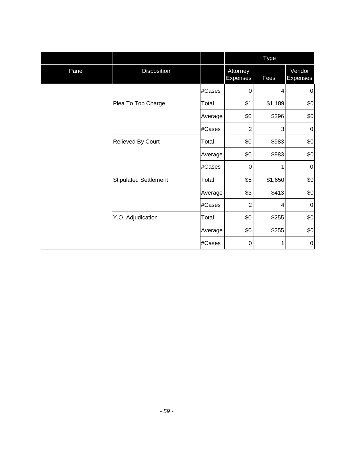|       |                              |                                         |                             | Type    |                           |
|-------|------------------------------|-----------------------------------------|-----------------------------|---------|---------------------------|
| Panel | Disposition                  |                                         | Attorney<br><b>Expenses</b> | Fees    | Vendor<br><b>Expenses</b> |
|       |                              | #Cases                                  | $\mathbf 0$                 | 4       | $\boldsymbol{0}$          |
|       | Plea To Top Charge           | Total                                   | \$1                         | \$1,189 | \$0                       |
|       |                              | Average                                 | \$0                         | \$396   | \$0                       |
|       |                              | #Cases                                  | 2                           | 3       | 0                         |
|       | Relieved By Court            | Total                                   | \$0                         | \$983   | \$0                       |
|       |                              | \$0<br>Average<br>#Cases<br>$\mathbf 0$ | \$983                       | \$0     |                           |
|       |                              |                                         |                             | 1       | $\boldsymbol{0}$          |
|       | <b>Stipulated Settlement</b> | Total                                   | \$5                         | \$1,650 | \$0                       |
|       |                              | Average                                 | \$3                         | \$413   | \$0                       |
|       |                              | #Cases                                  | $\overline{2}$              | 4       | $\pmb{0}$                 |
|       | Y.O. Adjudication            | Total                                   | \$0                         | \$255   | \$0                       |
|       |                              | Average                                 | \$0                         | \$255   | \$0                       |
|       |                              | #Cases                                  | 0                           | 1       | $\pmb{0}$                 |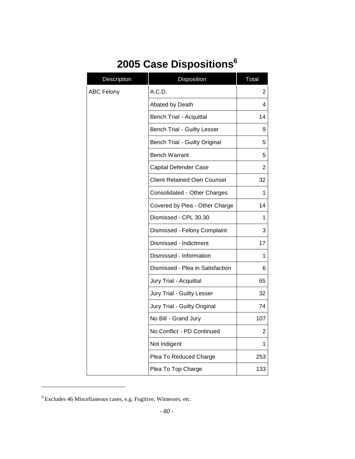# <span id="page-61-0"></span>**2005 Case Dispositions<sup>6</sup>**

| Description       | Disposition                          | Total          |
|-------------------|--------------------------------------|----------------|
| <b>ABC Felony</b> | A.C.D.                               | $\overline{2}$ |
|                   | Abated by Death                      | 4              |
|                   | <b>Bench Trial - Acquittal</b>       | 14             |
|                   | <b>Bench Trial - Guilty Lesser</b>   | 9              |
|                   | <b>Bench Trial - Guilty Original</b> | 5              |
|                   | <b>Bench Warrant</b>                 | 5              |
|                   | Capital Defender Case                | $\overline{2}$ |
|                   | Client Retained Own Counsel          | 32             |
|                   | Consolidated - Other Charges         | 1              |
|                   | Covered by Plea - Other Charge       | 14             |
|                   | Dismissed - CPL 30.30                | 1              |
|                   | Dismissed - Felony Complaint         | 3              |
|                   | Dismissed - Indictment               | 17             |
|                   | Dismissed - Information              | 1              |
|                   | Dismissed - Plea in Satisfaction     | 6              |
|                   | Jury Trial - Acquittal               | 65             |
|                   | Jury Trial - Guilty Lesser           | 32             |
|                   | Jury Trial - Guilty Original         | 74             |
|                   | No Bill - Grand Jury                 | 107            |
|                   | No Conflict - PD Continued           | 2              |
|                   | Not Indigent                         | 1              |
|                   | Plea To Reduced Charge               | 253            |
|                   | Plea To Top Charge                   | 133            |

<sup>6</sup> Excludes 46 Miscellaneous cases, e.g. Fugitive, Witnesses, etc.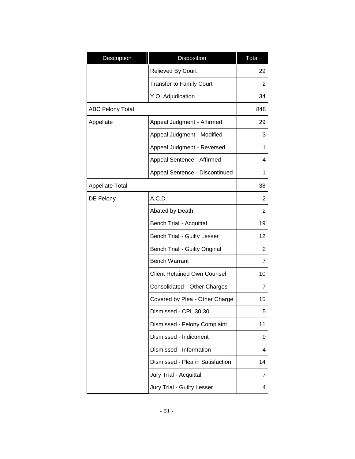| Description             | Disposition                        | Total          |
|-------------------------|------------------------------------|----------------|
|                         | <b>Relieved By Court</b>           | 29             |
|                         | <b>Transfer to Family Court</b>    | 2              |
|                         | Y.O. Adjudication                  | 34             |
| <b>ABC Felony Total</b> |                                    | 848            |
| Appellate               | Appeal Judgment - Affirmed         | 29             |
|                         | Appeal Judgment - Modified         | 3              |
|                         | Appeal Judgment - Reversed         | 1              |
|                         | Appeal Sentence - Affirmed         | 4              |
|                         | Appeal Sentence - Discontinued     | 1              |
| Appellate Total         |                                    | 38             |
| DE Felony               | A.C.D.                             | 2              |
|                         | Abated by Death                    | 2              |
|                         | <b>Bench Trial - Acquittal</b>     | 19             |
|                         | <b>Bench Trial - Guilty Lesser</b> | 12             |
|                         | Bench Trial - Guilty Original      | 2              |
|                         | <b>Bench Warrant</b>               | $\overline{7}$ |
|                         | <b>Client Retained Own Counsel</b> | 10             |
|                         | Consolidated - Other Charges       | 7              |
|                         | Covered by Plea - Other Charge     | 15             |
|                         | Dismissed - CPL 30.30              | 5              |
|                         | Dismissed - Felony Complaint       | 11             |
|                         | Dismissed - Indictment             | 9              |
|                         | Dismissed - Information            | 4              |
|                         | Dismissed - Plea in Satisfaction   | 14             |
|                         | Jury Trial - Acquittal             | 7              |
|                         | Jury Trial - Guilty Lesser         | 4              |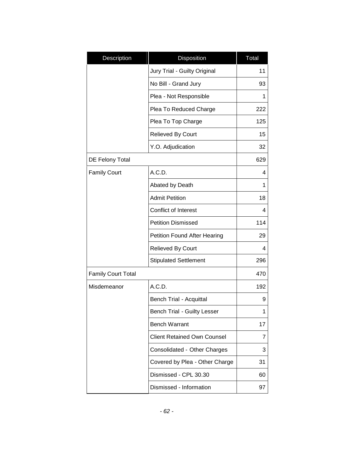| Description               | Disposition                         | Total |
|---------------------------|-------------------------------------|-------|
|                           | Jury Trial - Guilty Original        | 11    |
|                           | No Bill - Grand Jury                | 93    |
|                           | Plea - Not Responsible              | 1     |
|                           | Plea To Reduced Charge              | 222   |
|                           | Plea To Top Charge                  | 125   |
|                           | <b>Relieved By Court</b>            | 15    |
|                           | Y.O. Adjudication                   | 32    |
| DE Felony Total           |                                     | 629   |
| <b>Family Court</b>       | A.C.D.                              | 4     |
|                           | Abated by Death                     | 1     |
|                           | <b>Admit Petition</b>               | 18    |
|                           | Conflict of Interest                | 4     |
|                           | <b>Petition Dismissed</b>           | 114   |
|                           | <b>Petition Found After Hearing</b> | 29    |
|                           | Relieved By Court                   | 4     |
|                           | <b>Stipulated Settlement</b>        | 296   |
| <b>Family Court Total</b> |                                     | 470   |
| Misdemeanor               | A.C.D.                              | 192   |
|                           | Bench Trial - Acquittal             | 9     |
|                           | <b>Bench Trial - Guilty Lesser</b>  |       |
|                           | <b>Bench Warrant</b>                | 17    |
|                           | <b>Client Retained Own Counsel</b>  | 7     |
|                           | Consolidated - Other Charges        | 3     |
|                           | Covered by Plea - Other Charge      | 31    |
|                           | Dismissed - CPL 30.30               | 60    |
|                           | Dismissed - Information             | 97    |